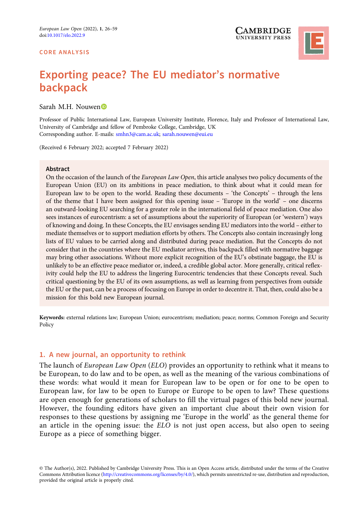#### CORE ANALYSIS





# Exporting peace? The EU mediator's normative backpack

Sarah M.H. Nouwen

Professor of Public International Law, European University Institute, Florence, Italy and Professor of International Law, University of Cambridge and fellow of Pembroke College, Cambridge, UK Corresponding author. E-mails: [smhn3@cam.ac.uk](mailto:smhn3@cam.ac.uk); [sarah.nouwen@eui.eu](mailto:sarah.nouwen@eui.eu)

(Received 6 February 2022; accepted 7 February 2022)

### **Abstract**

On the occasion of the launch of the *European Law Open*, this article analyses two policy documents of the European Union (EU) on its ambitions in peace mediation, to think about what it could mean for European law to be open to the world. Reading these documents – 'the Concepts' – through the lens of the theme that I have been assigned for this opening issue – 'Europe in the world' – one discerns an outward-looking EU searching for a greater role in the international field of peace mediation. One also sees instances of eurocentrism: a set of assumptions about the superiority of European (or 'western') ways of knowing and doing. In these Concepts, the EU envisages sending EU mediators into the world – either to mediate themselves or to support mediation efforts by others. The Concepts also contain increasingly long lists of EU values to be carried along and distributed during peace mediation. But the Concepts do not consider that in the countries where the EU mediator arrives, this backpack filled with normative baggage may bring other associations. Without more explicit recognition of the EU's obstinate baggage, the EU is unlikely to be an effective peace mediator or, indeed, a credible global actor. More generally, critical reflexivity could help the EU to address the lingering Eurocentric tendencies that these Concepts reveal. Such critical questioning by the EU of its own assumptions, as well as learning from perspectives from outside the EU or the past, can be a process of focusing on Europe in order to decentre it. That, then, could also be a mission for this bold new European journal.

Keywords: external relations law; European Union; eurocentrism; mediation; peace; norms; Common Foreign and Security Policy

# 1. A new journal, an opportunity to rethink

The launch of European Law Open (ELO) provides an opportunity to rethink what it means to be European, to do law and to be open, as well as the meaning of the various combinations of these words: what would it mean for European law to be open or for one to be open to European law, for law to be open to Europe or Europe to be open to law? These questions are open enough for generations of scholars to fill the virtual pages of this bold new journal. However, the founding editors have given an important clue about their own vision for responses to these questions by assigning me 'Europe in the world' as the general theme for an article in the opening issue: the ELO is not just open access, but also open to seeing Europe as a piece of something bigger.

<sup>©</sup> The Author(s), 2022. Published by Cambridge University Press. This is an Open Access article, distributed under the terms of the Creative Commons Attribution licence [\(http://creativecommons.org/licenses/by/4.0/](http://creativecommons.org/licenses/by/4.0/)), which permits unrestricted re-use, distribution and reproduction, provided the original article is properly cited.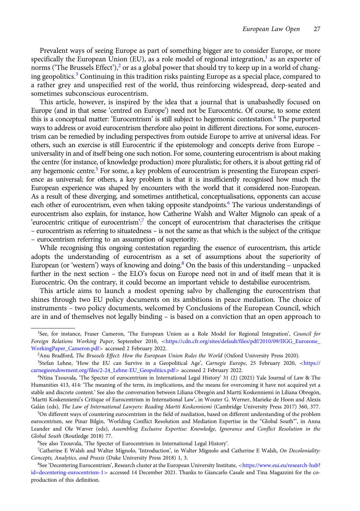Prevalent ways of seeing Europe as part of something bigger are to consider Europe, or more specifically the European Union (EU), as a role model of regional integration, $<sup>1</sup>$  as an exporter of</sup> norms ("The Brussels Effect"),<sup>2</sup> or as a global power that should try to keep up in a world of changing geopolitics.<sup>3</sup> Continuing in this tradition risks painting Europe as a special place, compared to a rather grey and unspecified rest of the world, thus reinforcing widespread, deep-seated and sometimes subconscious eurocentrism.

This article, however, is inspired by the idea that a journal that is unabashedly focused on Europe (and in that sense 'centred on Europe') need not be Eurocentric. Of course, to some extent this is a conceptual matter: 'Eurocentrism' is still subject to hegemonic contestation.4 The purported ways to address or avoid eurocentrism therefore also point in different directions. For some, eurocentrism can be remedied by including perspectives from outside Europe to arrive at universal ideas. For others, such an exercise is still Eurocentric if the epistemology and concepts derive from Europe – universality in and of itself being one such notion. For some, countering eurocentrism is about making the centre (for instance, of knowledge production) more pluralistic; for others, it is about getting rid of any hegemonic centre.<sup>5</sup> For some, a key problem of eurocentrism is presenting the European experience as universal; for others, a key problem is that it is insufficiently recognised how much the European experience was shaped by encounters with the world that it considered non-European. As a result of these diverging, and sometimes antithetical, conceptualisations, opponents can accuse each other of eurocentrism, even when taking opposite standpoints.<sup>6</sup> The various understandings of eurocentrism also explain, for instance, how Catherine Walsh and Walter Mignolo can speak of a 'eurocentric critique of eurocentrism':<sup>7</sup> the concept of eurocentrism that characterises the critique – eurocentrism as referring to situatedness – is not the same as that which is the subject of the critique – eurocentrism referring to an assumption of superiority.

While recognising this ongoing contestation regarding the essence of eurocentrism, this article adopts the understanding of eurocentrism as a set of assumptions about the superiority of European (or 'western') ways of knowing and doing.<sup>8</sup> On the basis of this understanding – unpacked further in the next section – the ELO's focus on Europe need not in and of itself mean that it is Eurocentric. On the contrary, it could become an important vehicle to destabilise eurocentrism.

This article aims to launch a modest opening salvo by challenging the eurocentrism that shines through two EU policy documents on its ambitions in peace mediation. The choice of instruments – two policy documents, welcomed by Conclusions of the European Council, which are in and of themselves not legally binding – is based on a conviction that an open approach to

<sup>&</sup>lt;sup>1</sup>See, for instance, Fraser Cameron, 'The European Union as a Role Model for Regional Integration', Council for Foreign Relations Working Paper, September 2010, <[https://cdn.cfr.org/sites/default/files/pdf/2010/09/IIGG\\_Eurozone\\_](https://cdn.cfr.org/sites/default/files/pdf/2010/09/IIGG_Eurozone_WorkingPaper_Cameron.pdf) [WorkingPaper\\_Cameron.pdf](https://cdn.cfr.org/sites/default/files/pdf/2010/09/IIGG_Eurozone_WorkingPaper_Cameron.pdf)> accessed 2 February 2022.

<sup>2</sup> Anu Bradford, The Brussels Effect: How the European Union Rules the World (Oxford University Press 2020).

<sup>&</sup>lt;sup>3</sup>Stefan Lehne, 'How the EU can Survive in a Geopolitical Age', Carnegie Europe, 25 February 2020, <[https://](https://carnegieendowment.org/files/2-24_Lehne-EU_Geopolitics.pdf) [carnegieendowment.org/files/2-24\\_Lehne-EU\\_Geopolitics.pdf](https://carnegieendowment.org/files/2-24_Lehne-EU_Geopolitics.pdf)> accessed 2 February 2022.

<sup>4</sup> Ntina Tzouvala, 'The Specter of eurocentrism in International Legal History' 31 (2) (2021) Yale Journal of Law & The Humanities 413, 414: 'The meaning of the term, its implications, and the means for overcoming it have not acquired yet a stable and discrete content.' See also the conversation between Liliana Obregón and Martti Koskenniemi in Liliana Obregón, 'Martti Koskenniemi's Critique of Eurocentrism in International Law', in Wouter G. Werner, Marieke de Hoon and Alexis Galán (eds), The Law of International Lawyers: Reading Martti Koskenniemi (Cambridge University Press 2017) 360, 377.

<sup>5</sup> On different ways of countering eurocentrism in the field of mediation, based on different understanding of the problem eurocentrism, see Pinar Bilgin, 'Worlding Conflict Resolution and Mediation Expertise in the "Global South"', in Anna Leander and Ole Wæver (eds), Assembling Exclusive Expertise: Knowledge, Ignorance and Conflict Resolution in the Global South (Routledge 2018) 77.

<sup>6</sup> See also Tzouvala, 'The Specter of Eurocentrism in International Legal History'.

<sup>7</sup> Catherine E Walsh and Walter Mignolo, 'Introduction', in Walter Mignolo and Catherine E Walsh, On Decoloniality: Concepts, Analytics, and Praxis (Duke University Press 2018) 1, 3.

<sup>8</sup> See 'Decentering Eurocentrism', Research cluster at the European University Institute, <[https://www.eui.eu/research-hub?](https://www.eui.eu/research-hub?id=decentering-eurocentrism-1) [id=decentering-eurocentrism-1](https://www.eui.eu/research-hub?id=decentering-eurocentrism-1)> accessed 14 December 2021. Thanks to Giancarlo Casale and Tina Magazzini for the coproduction of this definition.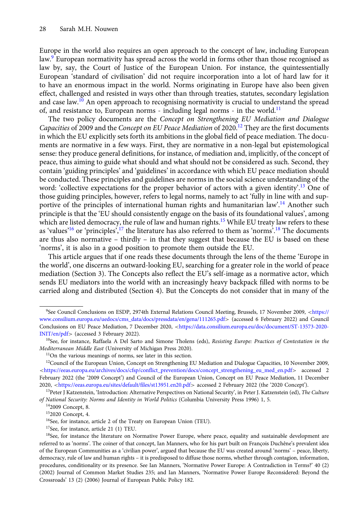Europe in the world also requires an open approach to the concept of law, including European law.9 European normativity has spread across the world in forms other than those recognised as law by, say, the Court of Justice of the European Union. For instance, the quintessentially European 'standard of civilisation' did not require incorporation into a lot of hard law for it to have an enormous impact in the world. Norms originating in Europe have also been given effect, challenged and resisted in ways other than through treaties, statutes, secondary legislation and case law.<sup>10</sup> An open approach to recognising normativity is crucial to understand the spread of, and resistance to, European norms - including legal norms - in the world.<sup>11</sup>

The two policy documents are the Concept on Strengthening EU Mediation and Dialogue Capacities of 2009 and the Concept on EU Peace Mediation of 2020.<sup>12</sup> They are the first documents in which the EU explicitly sets forth its ambitions in the global field of peace mediation. The documents are normative in a few ways. First, they are normative in a non-legal but epistemological sense: they produce general definitions, for instance, of mediation and, implicitly, of the concept of peace, thus aiming to guide what should and what should not be considered as such. Second, they contain 'guiding principles' and 'guidelines' in accordance with which EU peace mediation should be conducted. These principles and guidelines are norms in the social science understanding of the word: 'collective expectations for the proper behavior of actors with a given identity'.<sup>13</sup> One of those guiding principles, however, refers to legal norms, namely to act 'fully in line with and supportive of the principles of international human rights and humanitarian law'.<sup>14</sup> Another such principle is that the 'EU should consistently engage on the basis of its foundational values', among which are listed democracy, the rule of law and human rights.<sup>15</sup> While EU treaty law refers to these as 'values'<sup>16</sup> or 'principles',<sup>17</sup> the literature has also referred to them as 'norms'.<sup>18</sup> The documents are thus also normative – thirdly – in that they suggest that because the EU is based on these 'norms', it is also in a good position to promote them outside the EU.

This article argues that if one reads these documents through the lens of the theme 'Europe in the world', one discerns an outward-looking EU, searching for a greater role in the world of peace mediation (Section 3). The Concepts also reflect the EU's self-image as a normative actor, which sends EU mediators into the world with an increasingly heavy backpack filled with norms to be carried along and distributed (Section 4). But the Concepts do not consider that in many of the

<sup>&</sup>lt;sup>9</sup>See Council Conclusions on ESDP, 2974th External Relations Council Meeting, Brussels, 17 November 2009, <[https://](https://www.consilium.europa.eu/uedocs/cms_data/docs/pressdata/en/gena/111265.pdf) [www.consilium.europa.eu/uedocs/cms\\_data/docs/pressdata/en/gena/111265.pdf](https://www.consilium.europa.eu/uedocs/cms_data/docs/pressdata/en/gena/111265.pdf)> (accessed 6 February 2022) and Council Conclusions on EU Peace Mediation, 7 December 2020, <[https://data.consilium.europa.eu/doc/document/ST-13573-2020-](https://data.consilium.europa.eu/doc/document/ST-13573-2020-INIT/en/pdf) [INIT/en/pdf](https://data.consilium.europa.eu/doc/document/ST-13573-2020-INIT/en/pdf)> (accessed 3 February 2022).

<sup>&</sup>lt;sup>10</sup>See, for instance, Raffaela A Del Sarto and Simone Tholens (eds), Resisting Europe: Practices of Contestation in the Mediterranean Middle East (University of Michigan Press 2020).

<sup>&</sup>lt;sup>11</sup>On the various meanings of norms, see later in this section.

<sup>&</sup>lt;sup>12</sup>Council of the European Union, Concept on Strengthening EU Mediation and Dialogue Capacities, 10 November 2009, <[https://eeas.europa.eu/archives/docs/cfsp/conflict\\_prevention/docs/concept\\_strengthening\\_eu\\_med\\_en.pdf](https://eeas.europa.eu/archives/docs/cfsp/conflict_prevention/docs/concept_strengthening_eu_med_en.pdf)> accessed 2 February 2022 (the '2009 Concept') and Council of the European Union, Concept on EU Peace Mediation, 11 December 2020, <<https://eeas.europa.eu/sites/default/files/st13951.en20.pdf>> accessed 2 February 2022 (the '2020 Concept').

<sup>&</sup>lt;sup>13</sup>Peter J Katzenstein, 'Introduction: Alternative Perspectives on National Security', in Peter J. Katzenstein (ed), The Culture of National Security: Norms and Identity in World Politics (Columbia University Press 1996) 1, 5.

<sup>142009</sup> Concept, 8.

<sup>152020</sup> Concept, 4.

<sup>&</sup>lt;sup>16</sup>See, for instance, article 2 of the Treaty on European Union (TEU).

<sup>17</sup>See, for instance, article 21 (1) TEU.

<sup>&</sup>lt;sup>18</sup>See, for instance the literature on Normative Power Europe, where peace, equality and sustainable development are referred to as 'norms'. The coiner of that concept, Ian Manners, who for his part built on François Duchêne's prevalent idea of the European Communities as a 'civilian power', argued that because the EU was created around 'norms' – peace, liberty, democracy, rule of law and human rights – it is predisposed to diffuse those norms, whether through contagion, information, procedures, conditionality or its presence. See Ian Manners, 'Normative Power Europe: A Contradiction in Terms?' 40 (2) (2002) Journal of Common Market Studies 235; and Ian Manners, 'Normative Power Europe Reconsidered: Beyond the Crossroads' 13 (2) (2006) Journal of European Public Policy 182.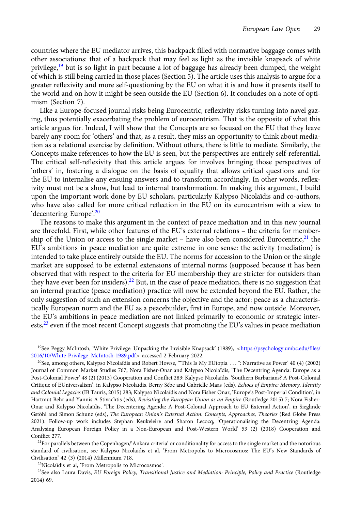countries where the EU mediator arrives, this backpack filled with normative baggage comes with other associations: that of a backpack that may feel as light as the invisible knapsack of white privilege,<sup>19</sup> but is so light in part because a lot of baggage has already been dumped, the weight of which is still being carried in those places (Section 5). The article uses this analysis to argue for a greater reflexivity and more self-questioning by the EU on what it is and how it presents itself to the world and on how it might be seen outside the EU (Section 6). It concludes on a note of optimism (Section 7).

Like a Europe-focused journal risks being Eurocentric, reflexivity risks turning into navel gazing, thus potentially exacerbating the problem of eurocentrism. That is the opposite of what this article argues for. Indeed, I will show that the Concepts are so focused on the EU that they leave barely any room for 'others' and that, as a result, they miss an opportunity to think about mediation as a relational exercise by definition. Without others, there is little to mediate. Similarly, the Concepts make references to how the EU is seen, but the perspectives are entirely self-referential. The critical self-reflexivity that this article argues for involves bringing those perspectives of 'others' in, fostering a dialogue on the basis of equality that allows critical questions and for the EU to internalise any ensuing answers and to transform accordingly. In other words, reflexivity must not be a show, but lead to internal transformation. In making this argument, I build upon the important work done by EU scholars, particularly Kalypso Nicolaïdis and co-authors, who have also called for more critical reflection in the EU on its eurocentrism with a view to 'decentering Europe'.<sup>20</sup>

The reasons to make this argument in the context of peace mediation and in this new journal are threefold. First, while other features of the EU's external relations – the criteria for membership of the Union or access to the single market – have also been considered Eurocentric, $21$  the EU's ambitions in peace mediation are quite extreme in one sense: the activity (mediation) is intended to take place entirely outside the EU. The norms for accession to the Union or the single market are supposed to be external extensions of internal norms (supposed because it has been observed that with respect to the criteria for EU membership they are stricter for outsiders than they have ever been for insiders).<sup>22</sup> But, in the case of peace mediation, there is no suggestion that an internal practice (peace mediation) practice will now be extended beyond the EU. Rather, the only suggestion of such an extension concerns the objective and the actor: peace as a characteristically European norm and the EU as a peacebuilder, first in Europe, and now outside. Moreover, the EU's ambitions in peace mediation are not linked primarily to economic or strategic interests,<sup>23</sup> even if the most recent Concept suggests that promoting the EU's values in peace mediation

<sup>&</sup>lt;sup>19</sup>See Peggy McIntosh, 'White Privilege: Unpacking the Invisible Knapsack' (1989), <[https://psychology.umbc.edu/files/](https://psychology.umbc.edu/files/2016/10/White-Privilege_McIntosh-1989.pdf) [2016/10/White-Privilege\\_McIntosh-1989.pdf](https://psychology.umbc.edu/files/2016/10/White-Privilege_McIntosh-1989.pdf)> accessed 2 February 2022.

<sup>&</sup>lt;sup>20</sup>See, among others, Kalypso Nicolaïdis and Robert Howse, "This Is My EUtopia ...": Narrative as Power' 40 (4) (2002) Journal of Common Market Studies 767; Nora Fisher-Onar and Kalypso Nicolaïdis, 'The Decentring Agenda: Europe as a Post-Colonial Power' 48 (2) (2013) Cooperation and Conflict 283; Kalypso Nicolaïdis, 'Southern Barbarians? A Post-Colonial Critique of EUniversalism', in Kalypso Nicolaïdis, Berny Sèbe and Gabrielle Maas (eds), Echoes of Empire: Memory, Identity and Colonial Legacies (IB Tauris, 2015) 283; Kalypso Nicolaïdis and Nora Fisher Onar, 'Europe's Post-Imperial Condition', in Hartmut Behr and Yannis A Stivachtis (eds), Revisiting the European Union as an Empire (Routledge 2015) 7; Nora Fisher-Onar and Kalypso Nicolaïdis, 'The Decentering Agenda: A Post-Colonial Approach to EU External Action', in Sieglinde Gstöhl and Simon Schunz (eds), The European Union's External Action: Concepts, Approaches, Theories (Red Globe Press 2021). Follow-up work includes Stephan Keukeleire and Sharon Lecocq, 'Operationalising the Decentring Agenda: Analysing European Foreign Policy in a Non-European and Post-Western World' 53 (2) (2018) Cooperation and Conflict 277.

 $21$ For parallels between the Copenhagen/'Ankara criteria' or conditionality for access to the single market and the notorious standard of civilisation, see Kalypso Nicolaïdis et al, 'From Metropolis to Microcosmos: The EU's New Standards of Civilisation' 42 (3) (2014) Millennium 718.

<sup>22</sup>Nicolaïdis et al, 'From Metropolis to Microcosmos'.

<sup>&</sup>lt;sup>23</sup>See also Laura Davis, EU Foreign Policy, Transitional Justice and Mediation: Principle, Policy and Practice (Routledge 2014) 69.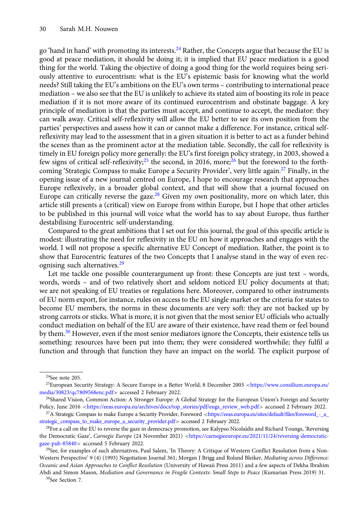go 'hand in hand' with promoting its interests.<sup>24</sup> Rather, the Concepts argue that because the EU is good at peace mediation, it should be doing it; it is implied that EU peace mediation is a good thing for the world. Taking the objective of doing a good thing for the world requires being seriously attentive to eurocentrism: what is the EU's epistemic basis for knowing what the world needs? Still taking the EU's ambitions on the EU's own terms – contributing to international peace mediation – we also see that the EU is unlikely to achieve its stated aim of boosting its role in peace mediation if it is not more aware of its continued eurocentrism and obstinate baggage. A key principle of mediation is that the parties must accept, and continue to accept, the mediator: they can walk away. Critical self-reflexivity will allow the EU better to see its own position from the parties' perspectives and assess how it can or cannot make a difference. For instance, critical selfreflexivity may lead to the assessment that in a given situation it is better to act as a funder behind the scenes than as the prominent actor at the mediation table. Secondly, the call for reflexivity is timely in EU foreign policy more generally: the EU's first foreign policy strategy, in 2003, showed a few signs of critical self-reflexivity;<sup>25</sup> the second, in 2016, more;<sup>26</sup> but the foreword to the forthcoming 'Strategic Compass to make Europe a Security Provider', very little again.<sup>27</sup> Finally, in the opening issue of a new journal centred on Europe, I hope to encourage research that approaches Europe reflexively, in a broader global context, and that will show that a journal focused on Europe can critically reverse the gaze.<sup>28</sup> Given my own positionality, more on which later, this article still presents a (critical) view on Europe from within Europe, but I hope that other articles to be published in this journal will voice what the world has to say about Europe, thus further destabilising Eurocentric self-understanding.

Compared to the great ambitions that I set out for this journal, the goal of this specific article is modest: illustrating the need for reflexivity in the EU on how it approaches and engages with the world. I will not propose a specific alternative EU Concept of mediation. Rather, the point is to show that Eurocentric features of the two Concepts that I analyse stand in the way of even recognising such alternatives.<sup>29</sup>

Let me tackle one possible counterargument up front: these Concepts are just text – words, words, words – and of two relatively short and seldom noticed EU policy documents at that; we are not speaking of EU treaties or regulations here. Moreover, compared to other instruments of EU norm export, for instance, rules on access to the EU single market or the criteria for states to become EU members, the norms in these documents are very soft: they are not backed up by strong carrots or sticks. What is more, it is not given that the most senior EU officials who actually conduct mediation on behalf of the EU are aware of their existence, have read them or feel bound by them.<sup>30</sup> However, even if the most senior mediators ignore the Concepts, their existence tells us something: resources have been put into them; they were considered worthwhile; they fulfil a function and through that function they have an impact on the world. The explicit purpose of

<sup>24</sup>See note 205.

<sup>&</sup>lt;sup>25</sup>European Security Strategy: A Secure Europe in a Better World, 8 December 2003 <[https://www.consilium.europa.eu/](https://www.consilium.europa.eu/media/30823/qc7809568enc.pdf) [media/30823/qc7809568enc.pdf](https://www.consilium.europa.eu/media/30823/qc7809568enc.pdf)> accessed 2 February 2022.

<sup>&</sup>lt;sup>26</sup>Shared Vision, Common Action: A Stronger Europe: A Global Strategy for the European Union's Foreign and Security Policy, June 2016 <[https://eeas.europa.eu/archives/docs/top\\_stories/pdf/eugs\\_review\\_web.pdf](https://eeas.europa.eu/archives/docs/top_stories/pdf/eugs_review_web.pdf)> accessed 2 February 2022.

<sup>&</sup>lt;sup>27</sup>A Strategic Compass to make Europe a Security Provider, Foreword <[https://eeas.europa.eu/sites/default/files/foreword\\_-\\_a\\_](https://eeas.europa.eu/sites/default/files/foreword_-_a_strategic_compass_to_make_europe_a_security_provider.pdf) [strategic\\_compass\\_to\\_make\\_europe\\_a\\_security\\_provider.pdf](https://eeas.europa.eu/sites/default/files/foreword_-_a_strategic_compass_to_make_europe_a_security_provider.pdf)> accessed 2 February 2022.

<sup>28</sup>For a call on the EU to reverse the gaze in democracy promotion, see Kalypso Nicolaïdis and Richard Youngs, 'Reversing the Democratic Gaze', Carnegie Europe (24 November 2021) <[https://carnegieeurope.eu/2021/11/24/reversing-democratic](https://carnegieeurope.eu/2021/11/24/reversing-democratic-gaze-pub-85840)[gaze-pub-85840](https://carnegieeurope.eu/2021/11/24/reversing-democratic-gaze-pub-85840)> accessed 5 February 2022.

<sup>&</sup>lt;sup>29</sup>See, for examples of such alternatives, Paul Salem, 'In Theory: A Critique of Western Conflict Resolution from a Non-Western Perspective' 9 (4) (1993) Negotiation Journal 361; Morgan J Brigg and Roland Bleiker, Mediating across Difference: Oceanic and Asian Approaches to Conflict Resolution (University of Hawaii Press 2011) and a few aspects of Dekha Ibrahim Abdi and Simon Mason, Mediation and Governance in Fragile Contexts: Small Steps to Peace (Kumarian Press 2019) 31.

<sup>30</sup>See Section 7.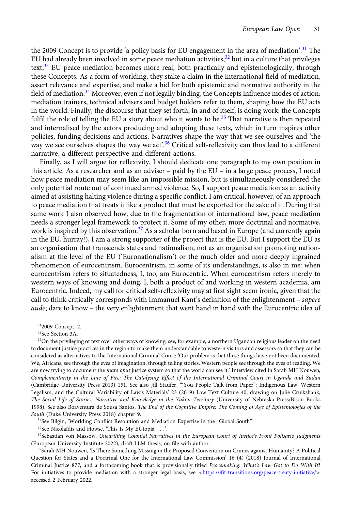the 2009 Concept is to provide 'a policy basis for EU engagement in the area of mediation'. <sup>31</sup> The EU had already been involved in some peace mediation activities, $32$  but in a culture that privileges text,<sup>33</sup> EU peace mediation becomes more real, both practically and epistemologically, through these Concepts. As a form of worlding, they stake a claim in the international field of mediation, assert relevance and expertise, and make a bid for both epistemic and normative authority in the field of mediation.<sup>34</sup> Moreover, even if not legally binding, the Concepts influence modes of action: mediation trainers, technical advisers and budget holders refer to them, shaping how the EU acts in the world. Finally, the discourse that they set forth, in and of itself, is doing work: the Concepts fulfil the role of telling the EU a story about who it wants to be.<sup>35</sup> That narrative is then repeated and internalised by the actors producing and adopting these texts, which in turn inspires other policies, funding decisions and actions. Narratives shape the way that we see ourselves and 'the way we see ourselves shapes the way we act'. <sup>36</sup> Critical self-reflexivity can thus lead to a different narrative, a different perspective and different actions.

Finally, as I will argue for reflexivity, I should dedicate one paragraph to my own position in this article. As a researcher and as an adviser – paid by the EU – in a large peace process, I noted how peace mediation may seem like an impossible mission, but is simultaneously considered the only potential route out of continued armed violence. So, I support peace mediation as an activity aimed at assisting halting violence during a specific conflict. I am critical, however, of an approach to peace mediation that treats it like a product that must be exported for the sake of it. During that same work I also observed how, due to the fragmentation of international law, peace mediation needs a stronger legal framework to protect it. Some of my other, more doctrinal and normative, work is inspired by this observation.<sup>37</sup> As a scholar born and based in Europe (and currently again in the EU, hurray!), I am a strong supporter of the project that is the EU. But I support the EU as an organisation that transcends states and nationalism, not as an organisation promoting nationalism at the level of the EU ('Euronationalism') or the much older and more deeply ingrained phenomenon of eurocentrism. Eurocentrism, in some of its understandings, is also in me: when eurocentrism refers to situatedness, I, too, am Eurocentric. When eurocentrism refers merely to western ways of knowing and doing, I, both a product of and working in western academia, am Eurocentric. Indeed, my call for critical self-reflexivity may at first sight seem ironic, given that the call to think critically corresponds with Immanuel Kant's definition of the enlightenment – sapere aude; dare to know – the very enlightenment that went hand in hand with the Eurocentric idea of

<sup>34</sup>See Bilgin, 'Worlding Conflict Resolution and Mediation Expertise in the "Global South".

<sup>35</sup>See Nicolaïdis and Howse, 'This Is My EUtopia ...'.

<sup>312009</sup> Concept, 2.

<sup>32</sup>See Section 3A.

<sup>&</sup>lt;sup>33</sup>On the privileging of text over other ways of knowing, see, for example, a northern Ugandan religious leader on the need to document justice practices in the region to make them understandable to western visitors and assessors so that they can be considered as alternatives to the International Criminal Court: 'Our problem is that these things have not been documented. We, Africans, see through the eyes of imagination, through telling stories. Western people see through the eyes of reading. We are now trying to document the *mato oput* justice system so that the world can see it.' Interview cited in Sarah MH Nouwen, Complementarity in the Line of Fire: The Catalysing Effect of the International Criminal Court in Uganda and Sudan (Cambridge University Press 2013) 151. See also Jill Staufer, '"You People Talk from Paper": Indigenous Law, Western Legalism, and the Cultural Variability of Law's Materials' 23 (2019) Law Text Culture 40, drawing on Julie Cruikshank, The Social Life of Stories: Narrative and Knowledge in the Yukon Territory (University of Nebraska Press/Bison Books 1998). See also Boaventura de Sousa Santos, The End of the Cognitive Empire: The Coming of Age of Epistemologies of the South (Duke University Press 2018) chapter 9.

<sup>&</sup>lt;sup>36</sup>Sebastian von Massow, Unearthing Colonial Narratives in the European Court of Justice's Front Polisario Judgments (European University Institute 2022), draft LLM thesis, on file with author.

<sup>&</sup>lt;sup>37</sup>Sarah MH Nouwen, 'Is There Something Missing in the Proposed Convention on Crimes against Humanity? A Political Question for States and a Doctrinal One for the International Law Commission' 16 (4) (2018) Journal of International Criminal Justice 877; and a forthcoming book that is provisionally titled Peacemaking: What's Law Got to Do With It? For initiatives to provide mediation with a stronger legal basis, see <<https://ifit-transitions.org/peace-treaty-initiative/>> accessed 2 February 2022.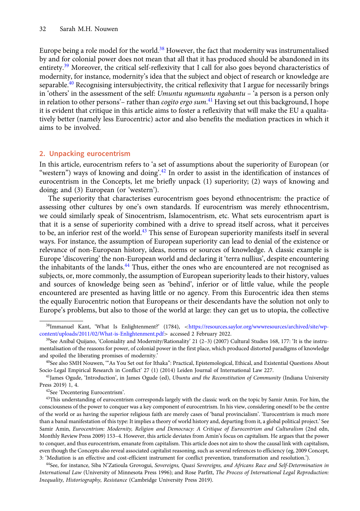Europe being a role model for the world.<sup>38</sup> However, the fact that modernity was instrumentalised by and for colonial power does not mean that all that it has produced should be abandoned in its entirety.<sup>39</sup> Moreover, the critical self-reflexivity that I call for also goes beyond characteristics of modernity, for instance, modernity's idea that the subject and object of research or knowledge are separable.<sup>40</sup> Recognising intersubjectivity, the critical reflexivity that I argue for necessarily brings in 'others' in the assessment of the self: Umuntu ngumuntu ngabantu – 'a person is a person only in relation to other persons'– rather than *cogito ergo sum*.<sup>41</sup> Having set out this background, I hope it is evident that critique in this article aims to foster a reflexivity that will make the EU a qualitatively better (namely less Eurocentric) actor and also benefits the mediation practices in which it aims to be involved.

# 2. Unpacking eurocentrism

In this article, eurocentrism refers to 'a set of assumptions about the superiority of European (or "western") ways of knowing and doing'.<sup>42</sup> In order to assist in the identification of instances of eurocentrism in the Concepts, let me briefly unpack (1) superiority; (2) ways of knowing and doing; and (3) European (or 'western').

The superiority that characterises eurocentrism goes beyond ethnocentrism: the practice of assessing other cultures by one's own standards. If eurocentrism was merely ethnocentrism, we could similarly speak of Sinocentrism, Islamocentrism, etc. What sets eurocentrism apart is that it is a sense of superiority combined with a drive to spread itself across, what it perceives to be, an inferior rest of the world.<sup>43</sup> This sense of European superiority manifests itself in several ways. For instance, the assumption of European superiority can lead to denial of the existence or relevance of non-European history, ideas, norms or sources of knowledge. A classic example is Europe 'discovering' the non-European world and declaring it 'terra nullius', despite encountering the inhabitants of the lands. $44$  Thus, either the ones who are encountered are not recognised as subjects, or, more commonly, the assumption of European superiority leads to their history, values and sources of knowledge being seen as 'behind', inferior or of little value, while the people encountered are presented as having little or no agency. From this Eurocentric idea then stems the equally Eurocentric notion that Europeans or their descendants have the solution not only to Europe's problems, but also to those of the world at large: they can get us to utopia, the collective

<sup>&</sup>lt;sup>38</sup>Immanuel Kant, 'What Is Enlightenment?' (1784), <[https://resources.saylor.org/wwwresources/archived/site/wp](https://resources.saylor.org/wwwresources/archived/site/wp-content/uploads/2011/02/What-is-Enlightenment.pdf)[content/uploads/2011/02/What-is-Enlightenment.pdf](https://resources.saylor.org/wwwresources/archived/site/wp-content/uploads/2011/02/What-is-Enlightenment.pdf)> accessed 2 February 2022.

<sup>&</sup>lt;sup>39</sup>See Aníbal Quijano, 'Coloniality and Modernity/Rationality' 21 (2-3) (2007) Cultural Studies 168, 177: 'It is the instrumentalisation of the reasons for power, of colonial power in the first place, which produced distorted paradigms of knowledge and spoiled the liberating promises of modernity.'

<sup>&</sup>lt;sup>40</sup>See also SMH Nouwen, "As You Set out for Ithaka": Practical, Epistemological, Ethical, and Existential Questions About Socio-Legal Empirical Research in Conflict' 27 (1) (2014) Leiden Journal of International Law 227.

<sup>&</sup>lt;sup>41</sup>James Ogude, 'Introduction', in James Ogude (ed), *Ubuntu and the Reconstitution of Community* (Indiana University Press 2019) 1, 4.

<sup>42</sup>See 'Decentering Eurocentrism'.

<sup>&</sup>lt;sup>43</sup>This understanding of eurocentrism corresponds largely with the classic work on the topic by Samir Amin. For him, the consciousness of the power to conquer was a key component of eurocentrism. In his view, considering oneself to be the centre of the world or as having the superior religious faith are merely cases of 'banal provincialism'. 'Eurocentrism is much more than a banal manifestation of this type: It implies a theory of world history and, departing from it, a global political project.' See Samir Amin, Eurocentrism: Modernity, Religion and Democracy: A Critique of Eurocentrism and Culturalism (2nd edn, Monthly Review Press 2009) 153–4. However, this article deviates from Amin's focus on capitalism. He argues that the power to conquer, and thus eurocentrism, emanate from capitalism. This article does not aim to show the causal link with capitalism, even though the Concepts also reveal associated capitalist reasoning, such as several references to efficiency (eg, 2009 Concept, 3: 'Mediation is an effective and cost-efficient instrument for conflict prevention, transformation and resolution.').

<sup>&</sup>lt;sup>44</sup>See, for instance, Siba N'Zatioula Grovogui, Sovereigns, Quasi Sovereigns, and Africans Race and Self-Determination in International Law (University of Minnesota Press 1996); and Rose Parfitt, The Process of International Legal Reproduction: Inequality, Historiography, Resistance (Cambridge University Press 2019).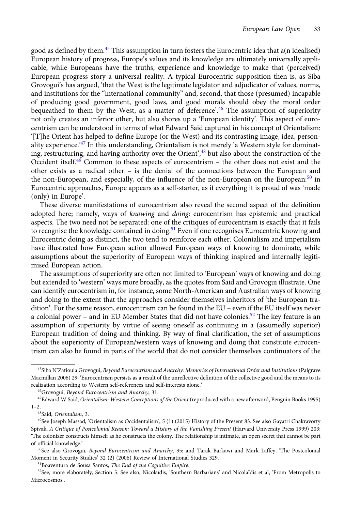good as defined by them.<sup>45</sup> This assumption in turn fosters the Eurocentric idea that a(n idealised) European history of progress, Europe's values and its knowledge are ultimately universally applicable, while Europeans have the truths, experience and knowledge to make that (perceived) European progress story a universal reality. A typical Eurocentric supposition then is, as Siba Grovogui's has argued, 'that the West is the legitimate legislator and adjudicator of values, norms, and institutions for the "international community" and, second, that those (presumed) incapable of producing good government, good laws, and good morals should obey the moral order bequeathed to them by the West, as a matter of deference'. <sup>46</sup> The assumption of superiority not only creates an inferior other, but also shores up a 'European identity'. This aspect of eurocentrism can be understood in terms of what Edward Said captured in his concept of Orientalism: '[T]he Orient has helped to define Europe (or the West) and its contrasting image, idea, personality experience.'<sup>47</sup> In this understanding, Orientalism is not merely 'a Western style for dominating, restructuring, and having authority over the Orient', <sup>48</sup> but also about the construction of the Occident itself.<sup>49</sup> Common to these aspects of eurocentrism – the other does not exist and the other exists as a radical other – is the denial of the connections between the European and the non-European, and especially, of the influence of the non-European on the European: $50$  in Eurocentric approaches, Europe appears as a self-starter, as if everything it is proud of was 'made (only) in Europe'.

These diverse manifestations of eurocentrism also reveal the second aspect of the definition adopted here; namely, ways of knowing and doing: eurocentrism has epistemic and practical aspects. The two need not be separated: one of the critiques of eurocentrism is exactly that it fails to recognise the knowledge contained in doing.<sup>51</sup> Even if one recognises Eurocentric knowing and Eurocentric doing as distinct, the two tend to reinforce each other. Colonialism and imperialism have illustrated how European action allowed European ways of knowing to dominate, while assumptions about the superiority of European ways of thinking inspired and internally legitimised European action.

The assumptions of superiority are often not limited to 'European' ways of knowing and doing but extended to 'western' ways more broadly, as the quotes from Said and Grovogui illustrate. One can identify eurocentrism in, for instance, some North-American and Australian ways of knowing and doing to the extent that the approaches consider themselves inheritors of 'the European tradition'. For the same reason, eurocentrism can be found in the EU – even if the EU itself was never a colonial power – and in EU Member States that did not have colonies.<sup>52</sup> The key feature is an assumption of superiority by virtue of seeing oneself as continuing in a (assumedly superior) European tradition of doing and thinking. By way of final clarification, the set of assumptions about the superiority of European/western ways of knowing and doing that constitute eurocentrism can also be found in parts of the world that do not consider themselves continuators of the

51Boaventura de Sousa Santos, The End of the Cognitive Empire.

<sup>&</sup>lt;sup>45</sup>Siba N'Zatioula Grovogui, Beyond Eurocentrism and Anarchy: Memories of International Order and Institutions (Palgrave Macmillan 2006) 29: 'Eurocentrism persists as a result of the unreflective definition of the collective good and the means to its realization according to Western self-references and self-interests alone.'

<sup>&</sup>lt;sup>46</sup>Grovogui, Beyond Eurocentrism and Anarchy, 31.

<sup>&</sup>lt;sup>47</sup>Edward W Said, Orientalism: Western Conceptions of the Orient (reproduced with a new afterword, Penguin Books 1995)  $1-2.$ 

<sup>48</sup>Said, Orientalism, 3.

<sup>&</sup>lt;sup>49</sup>See Joseph Massad, 'Orientalism as Occidentalism', 5 (1) (2015) History of the Present 83. See also Gayatri Chakravorty Spivak, A Critique of Postcolonial Reason: Toward a History of the Vanishing Present (Harvard University Press 1999) 203: 'The colonizer constructs himself as he constructs the colony. The relationship is intimate, an open secret that cannot be part of official knowledge.'

<sup>&</sup>lt;sup>50</sup>See also Grovogui, Beyond Eurocentrism and Anarchy, 35; and Tarak Barkawi and Mark Laffey, 'The Postcolonial Moment in Security Studies' 32 (2) (2006) Review of International Studies 329.

<sup>52</sup>See, more elaborately, Section 5. See also, Nicolaïdis, 'Southern Barbarians' and Nicolaïdis et al, 'From Metropolis to Microcosmos'.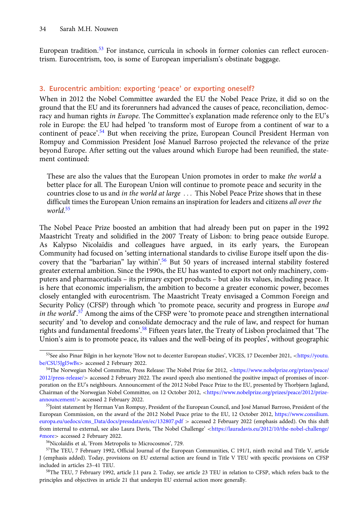European tradition.<sup>53</sup> For instance, curricula in schools in former colonies can reflect eurocentrism. Eurocentrism, too, is some of European imperialism's obstinate baggage.

# 3. Eurocentric ambition: exporting 'peace' or exporting oneself?

When in 2012 the Nobel Committee awarded the EU the Nobel Peace Prize, it did so on the ground that the EU and its forerunners had advanced the causes of peace, reconciliation, democracy and human rights in Europe. The Committee's explanation made reference only to the EU's role in Europe: the EU had helped 'to transform most of Europe from a continent of war to a continent of peace'.<sup>54</sup> But when receiving the prize, European Council President Herman von Rompuy and Commission President José Manuel Barroso projected the relevance of the prize beyond Europe. After setting out the values around which Europe had been reunified, the statement continued:

These are also the values that the European Union promotes in order to make the world a better place for all. The European Union will continue to promote peace and security in the countries close to us and in the world at large ... This Nobel Peace Prize shows that in these difficult times the European Union remains an inspiration for leaders and citizens all over the world. 55

The Nobel Peace Prize boosted an ambition that had already been put on paper in the 1992 Maastricht Treaty and solidified in the 2007 Treaty of Lisbon: to bring peace outside Europe. As Kalypso Nicolaïdis and colleagues have argued, in its early years, the European Community had focused on 'setting international standards to civilise Europe itself upon the discovery that the "barbarian" lay within'.<sup>56</sup> But 50 years of increased internal stability fostered greater external ambition. Since the 1990s, the EU has wanted to export not only machinery, computers and pharmaceuticals – its primary export products – but also its values, including peace. It is here that economic imperialism, the ambition to become a greater economic power, becomes closely entangled with eurocentrism. The Maastricht Treaty envisaged a Common Foreign and Security Policy (CFSP) through which 'to promote peace, security and progress in Europe and in the world<sup>7</sup>.<sup>57</sup> Among the aims of the CFSP were 'to promote peace and strengthen international security' and 'to develop and consolidate democracy and the rule of law, and respect for human rights and fundamental freedoms'. <sup>58</sup> Fifteen years later, the Treaty of Lisbon proclaimed that 'The Union's aim is to promote peace, its values and the well-being of its peoples', without geographic

<sup>&</sup>lt;sup>53</sup>See also Pinar Bilgin in her keynote 'How not to decenter European studies', VICES, 17 December 2021, <[https://youtu.](https://youtu.be/CSU5JgI5wBs) [be/CSU5JgI5wBs](https://youtu.be/CSU5JgI5wBs)> accessed 2 February 2022.

<sup>54</sup>The Norwegian Nobel Committee, Press Release: The Nobel Prize for 2012, <[https://www.nobelprize.org/prizes/peace/](https://www.nobelprize.org/prizes/peace/2012/press-release/) [2012/press-release/](https://www.nobelprize.org/prizes/peace/2012/press-release/)> accessed 2 February 2022. The award speech also mentioned the positive impact of promises of incorporation on the EU's neighbours. Announcement of the 2012 Nobel Peace Prize to the EU, presented by Thorbjørn Jagland, Chairman of the Norwegian Nobel Committee, on 12 October 2012, <[https://www.nobelprize.org/prizes/peace/2012/prize](https://www.nobelprize.org/prizes/peace/2012/prize-announcement/)[announcement/](https://www.nobelprize.org/prizes/peace/2012/prize-announcement/)> accessed 2 February 2022.

<sup>&</sup>lt;sup>55</sup>Joint statement by Herman Van Rompuy, President of the European Council, and José Manuel Barroso, President of the European Commission, on the award of the 2012 Nobel Peace prize to the EU, 12 October 2012, [https://www.consilium.](https://www.consilium.europa.eu/uedocs/cms_Data/docs/pressdata/en/ec/132807.pdf) [europa.eu/uedocs/cms\\_Data/docs/pressdata/en/ec/132807.pdf](https://www.consilium.europa.eu/uedocs/cms_Data/docs/pressdata/en/ec/132807.pdf) > accessed 2 February 2022 (emphasis added). On this shift from internal to external, see also Laura Davis, 'The Nobel Challenge' <[https://lauradavis.eu/2012/10/the-nobel-challenge/](https://lauradavis.eu/2012/10/the-nobel-challenge/#more) [#more](https://lauradavis.eu/2012/10/the-nobel-challenge/#more)> accessed 2 February 2022.

<sup>56</sup>Nicolaïdis et al, 'From Metropolis to Microcosmos', 729.

<sup>57</sup>The TEU, 7 February 1992, Official Journal of the European Communities, C 191/1, ninth recital and Title V, article J (emphasis added). Today, provisions on EU external action are found in Title V TEU with specific provisions on CFSP included in articles 23–41 TEU.

<sup>58</sup>The TEU, 7 February 1992, article J.1 para 2. Today, see article 23 TEU in relation to CFSP, which refers back to the principles and objectives in article 21 that underpin EU external action more generally.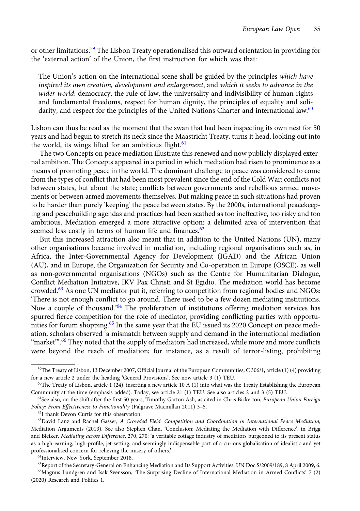or other limitations.<sup>59</sup> The Lisbon Treaty operationalised this outward orientation in providing for the 'external action' of the Union, the first instruction for which was that:

The Union's action on the international scene shall be guided by the principles which have inspired its own creation, development and enlargement, and which it seeks to advance in the wider world: democracy, the rule of law, the universality and indivisibility of human rights and fundamental freedoms, respect for human dignity, the principles of equality and solidarity, and respect for the principles of the United Nations Charter and international law.<sup>60</sup>

Lisbon can thus be read as the moment that the swan that had been inspecting its own nest for 50 years and had begun to stretch its neck since the Maastricht Treaty, turns it head, looking out into the world, its wings lifted for an ambitious flight. $61$ 

The two Concepts on peace mediation illustrate this renewed and now publicly displayed external ambition. The Concepts appeared in a period in which mediation had risen to prominence as a means of promoting peace in the world. The dominant challenge to peace was considered to come from the types of conflict that had been most prevalent since the end of the Cold War: conflicts not between states, but about the state; conflicts between governments and rebellious armed movements or between armed movements themselves. But making peace in such situations had proven to be harder than purely 'keeping' the peace between states. By the 2000s, international peacekeeping and peacebuilding agendas and practices had been scathed as too ineffective, too risky and too ambitious. Mediation emerged a more attractive option: a delimited area of intervention that seemed less costly in terms of human life and finances.<sup>62</sup>

But this increased attraction also meant that in addition to the United Nations (UN), many other organisations became involved in mediation, including regional organisations such as, in Africa, the Inter-Governmental Agency for Development (IGAD) and the African Union (AU), and in Europe, the Organization for Security and Co-operation in Europe (OSCE), as well as non-governmental organisations (NGOs) such as the Centre for Humanitarian Dialogue, Conflict Mediation Initiative, IKV Pax Christi and St Egidio. The mediation world has become crowded.<sup>63</sup> As one UN mediator put it, referring to competition from regional bodies and NGOs: 'There is not enough conflict to go around. There used to be a few dozen mediating institutions. Now a couple of thousand.<sup>364</sup> The proliferation of institutions offering mediation services has spurred fierce competition for the role of mediator, providing conflicting parties with opportunities for forum shopping.<sup>65</sup> In the same year that the EU issued its 2020 Concept on peace mediation, scholars observed 'a mismatch between supply and demand in the international mediation "market"'. $\rm ^{66}$  They noted that the supply of mediators had increased, while more and more conflicts were beyond the reach of mediation; for instance, as a result of terror-listing, prohibiting

<sup>59</sup>The Treaty of Lisbon, 13 December 2007, Official Journal of the European Communities, C 306/1, article (1) (4) providing for a new article 2 under the heading 'General Provisions'. See now article 3 (1) TEU.

 $60$ The Treaty of Lisbon, article 1 (24), inserting a new article 10 A (1) into what was the Treaty Establishing the European Community at the time (emphasis added). Today, see article 21 (1) TEU. See also articles 2 and 3 (5) TEU.

<sup>&</sup>lt;sup>61</sup>See also, on the shift after the first 50 years, Timothy Garton Ash, as cited in Chris Bickerton, European Union Foreign Policy: From Effectiveness to Functionality (Palgrave Macmillan 2011) 3–5.

<sup>62</sup>I thank Devon Curtis for this observation.

<sup>&</sup>lt;sup>63</sup>David Lanz and Rachel Gasser, A Crowded Field: Competition and Coordination in International Peace Mediation, Mediation Arguments (2013). See also Stephen Chan, 'Conclusion: Mediating the Mediation with Difference', in Brigg and Bleiker, Mediating across Difference, 270, 270: 'a veritable cottage industry of mediators burgeoned to its present status as a high-earning, high-profile, jet-setting, and seemingly indispensable part of a curious globalisation of idealistic and yet professionalised concern for relieving the misery of others.'

<sup>64</sup>Interview, New York, September 2018.

<sup>&</sup>lt;sup>65</sup>Report of the Secretary-General on Enhancing Mediation and Its Support Activities, UN Doc S/2009/189, 8 April 2009, 6.

<sup>66</sup>Magnus Lundgren and Isak Svensson, 'The Surprising Decline of International Mediation in Armed Conflicts' 7 (2) (2020) Research and Politics 1.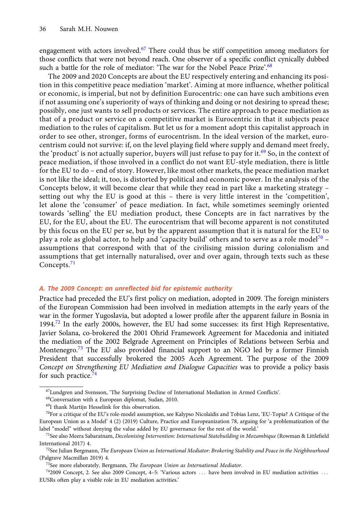engagement with actors involved.<sup>67</sup> There could thus be stiff competition among mediators for those conflicts that were not beyond reach. One observer of a specific conflict cynically dubbed such a battle for the role of mediator: 'The war for the Nobel Peace Prize'.<sup>68</sup>

The 2009 and 2020 Concepts are about the EU respectively entering and enhancing its position in this competitive peace mediation 'market'. Aiming at more influence, whether political or economic, is imperial, but not by definition Eurocentric: one can have such ambitions even if not assuming one's superiority of ways of thinking and doing or not desiring to spread these; possibly, one just wants to sell products or services. The entire approach to peace mediation as that of a product or service on a competitive market is Eurocentric in that it subjects peace mediation to the rules of capitalism. But let us for a moment adopt this capitalist approach in order to see other, stronger, forms of eurocentrism. In the ideal version of the market, eurocentrism could not survive: if, on the level playing field where supply and demand meet freely, the 'product' is not actually superior, buyers will just refuse to pay for it.<sup>69</sup> So, in the context of peace mediation, if those involved in a conflict do not want EU-style mediation, there is little for the EU to do – end of story. However, like most other markets, the peace mediation market is not like the ideal; it, too, is distorted by political and economic power. In the analysis of the Concepts below, it will become clear that while they read in part like a marketing strategy – setting out why the EU is good at this – there is very little interest in the 'competition', let alone the 'consumer' of peace mediation. In fact, while sometimes seemingly oriented towards 'selling' the EU mediation product, these Concepts are in fact narratives by the EU, for the EU, about the EU. The eurocentrism that will become apparent is not constituted by this focus on the EU per se, but by the apparent assumption that it is natural for the EU to play a role as global actor, to help and 'capacity build' others and to serve as a role model<sup>70</sup> – assumptions that correspond with that of the civilising mission during colonialism and assumptions that get internally naturalised, over and over again, through texts such as these Concepts.<sup>71</sup>

### A. The 2009 Concept: an unreflected bid for epistemic authority

Practice had preceded the EU's first policy on mediation, adopted in 2009. The foreign ministers of the European Commission had been involved in mediation attempts in the early years of the war in the former Yugoslavia, but adopted a lower profile after the apparent failure in Bosnia in 1994.<sup>72</sup> In the early 2000s, however, the EU had some successes: its first High Representative, Javier Solana, co-brokered the 2001 Ohrid Framework Agreement for Macedonia and initiated the mediation of the 2002 Belgrade Agreement on Principles of Relations between Serbia and Montenegro.<sup>73</sup> The EU also provided financial support to an NGO led by a former Finnish President that successfully brokered the 2005 Aceh Agreement. The purpose of the 2009 Concept on Strengthening EU Mediation and Dialogue Capacities was to provide a policy basis for such practice. $74$ 

<sup>67</sup>Lundgren and Svensson, 'The Surprising Decline of International Mediation in Armed Conflicts'.

<sup>68</sup>Conversation with a European diplomat, Sudan, 2010.

<sup>69</sup>I thank Martijn Hesselink for this observation.

 $^{70}$ For a critique of the EU's role-model assumption, see Kalypso Nicolaïdis and Tobias Lenz, 'EU-Topia? A Critique of the European Union as a Model' 4 (2) (2019) Culture, Practice and Europeanization 78, arguing for 'a problematization of the label "model" without denying the value added by EU governance for the rest of the world.'

<sup>&</sup>lt;sup>71</sup>See also Meera Sabaratnam, Decolonising Intervention: International Statebuilding in Mozambique (Rowman & Littlefield International 2017) 4.

 $72$ See Julian Bergmann, The European Union as International Mediator: Brokering Stability and Peace in the Neighbourhood (Palgrave Macmillan 2019) 4.

 $73$ See more elaborately, Bergmann, The European Union as International Mediator.

<sup>&</sup>lt;sup>74</sup>2009 Concept, 2. See also 2009 Concept, 4–5: 'Various actors ... have been involved in EU mediation activities ... EUSRs often play a visible role in EU mediation activities.'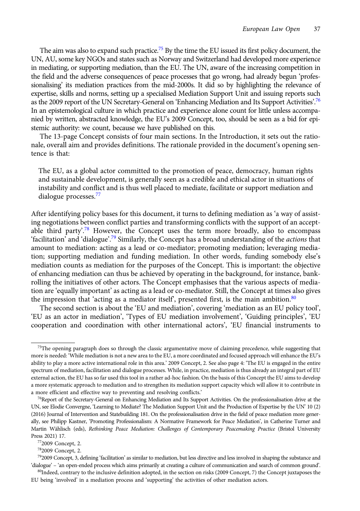The aim was also to expand such practice.<sup>75</sup> By the time the EU issued its first policy document, the UN, AU, some key NGOs and states such as Norway and Switzerland had developed more experience in mediating, or supporting mediation, than the EU. The UN, aware of the increasing competition in the field and the adverse consequences of peace processes that go wrong, had already begun 'professionalising' its mediation practices from the mid-2000s. It did so by highlighting the relevance of expertise, skills and norms, setting up a specialised Mediation Support Unit and issuing reports such as the 2009 report of the UN Secretary-General on 'Enhancing Mediation and Its Support Activities'.<sup>76</sup> In an epistemological culture in which practice and experience alone count for little unless accompanied by written, abstracted knowledge, the EU's 2009 Concept, too, should be seen as a bid for epistemic authority: we count, because we have published on this.

The 13-page Concept consists of four main sections. In the Introduction, it sets out the rationale, overall aim and provides definitions. The rationale provided in the document's opening sentence is that:

The EU, as a global actor committed to the promotion of peace, democracy, human rights and sustainable development, is generally seen as a credible and ethical actor in situations of instability and conflict and is thus well placed to mediate, facilitate or support mediation and dialogue processes.<sup>77</sup>

After identifying policy bases for this document, it turns to defining mediation as 'a way of assisting negotiations between conflict parties and transforming conflicts with the support of an acceptable third party'.<sup>78</sup> However, the Concept uses the term more broadly, also to encompass 'facilitation' and 'dialogue'.<sup>79</sup> Similarly, the Concept has a broad understanding of the *actions* that amount to mediation: acting as a lead or co-mediator; promoting mediation; leveraging mediation; supporting mediation and funding mediation. In other words, funding somebody else's mediation counts as mediation for the purposes of the Concept. This is important: the objective of enhancing mediation can thus be achieved by operating in the background, for instance, bankrolling the initiatives of other actors. The Concept emphasises that the various aspects of mediation are 'equally important' as acting as a lead or co-mediator. Still, the Concept at times also gives the impression that 'acting as a mediator itself', presented first, is the main ambition. $80$ 

The second section is about the 'EU and mediation', covering 'mediation as an EU policy tool', 'EU as an actor in mediation', 'Types of EU mediation involvement', 'Guiding principles', 'EU cooperation and coordination with other international actors', 'EU financial instruments to

782009 Concept, 2.

 $75$ The opening paragraph does so through the classic argumentative move of claiming precedence, while suggesting that more is needed: 'While mediation is not a new area to the EU, a more coordinated and focused approach will enhance the EU's ability to play a more active international role in this area.' 2009 Concept, 2. See also page 4: 'The EU is engaged in the entire spectrum of mediation, facilitation and dialogue processes. While, in practice, mediation is thus already an integral part of EU external action, the EU has so far used this tool in a rather ad-hoc fashion. On the basis of this Concept the EU aims to develop a more systematic approach to mediation and to strengthen its mediation support capacity which will allow it to contribute in a more efficient and effective way to preventing and resolving conflicts.'

 $^{76}$ Report of the Secretary-General on Enhancing Mediation and Its Support Activities. On the professionalisation drive at the UN, see Elodie Convergne, 'Learning to Mediate? The Mediation Support Unit and the Production of Expertise by the UN' 10 (2) (2016) Journal of Intervention and Statebuilding 181. On the professionalisation drive in the field of peace mediation more generally, see Philipp Kastner, 'Promoting Professionalism: A Normative Framework for Peace Mediation', in Catherine Turner and Martin Wählisch (eds), Rethinking Peace Mediation: Challenges of Contemporary Peacemaking Practice (Bristol University Press 2021) 17.

<sup>772009</sup> Concept, 2.

 $792009$  Concept, 3, defining 'facilitation' as similar to mediation, but less directive and less involved in shaping the substance and 'dialogue'–'an open-ended process which aims primarily at creating a culture of communication and search of common ground'.

<sup>80</sup>Indeed, contrary to the inclusive definition adopted, in the section on risks (2009 Concept, 7) the Concept juxtaposes the EU being 'involved' in a mediation process and 'supporting' the activities of other mediation actors.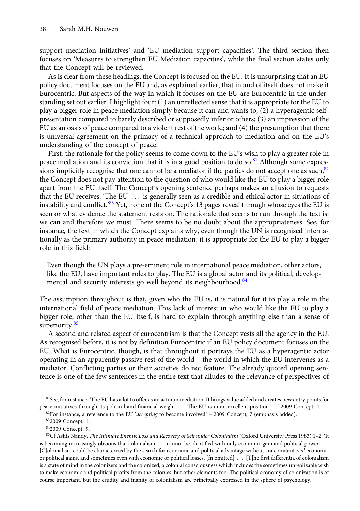support mediation initiatives' and 'EU mediation support capacities'. The third section then focuses on 'Measures to strengthen EU Mediation capacities', while the final section states only that the Concept will be reviewed.

As is clear from these headings, the Concept is focused on the EU. It is unsurprising that an EU policy document focuses on the EU and, as explained earlier, that in and of itself does not make it Eurocentric. But aspects of the way in which it focuses on the EU are Eurocentric in the understanding set out earlier. I highlight four: (1) an unreflected sense that it is appropriate for the EU to play a bigger role in peace mediation simply because it can and wants to; (2) a hyperagentic selfpresentation compared to barely described or supposedly inferior others; (3) an impression of the EU as an oasis of peace compared to a violent rest of the world; and (4) the presumption that there is universal agreement on the primacy of a technical approach to mediation and on the EU's understanding of the concept of peace.

First, the rationale for the policy seems to come down to the EU's wish to play a greater role in peace mediation and its conviction that it is in a good position to do so. $81$  Although some expressions implicitly recognise that one cannot be a mediator if the parties do not accept one as such,  $82$ the Concept does not pay attention to the question of who would like the EU to play a bigger role apart from the EU itself. The Concept's opening sentence perhaps makes an allusion to requests that the EU receives: 'The EU ... is generally seen as a credible and ethical actor in situations of instability and conflict.'<sup>83</sup> Yet, none of the Concept's 13 pages reveal through whose eyes the EU is seen or what evidence the statement rests on. The rationale that seems to run through the text is: we can and therefore we must. There seems to be no doubt about the appropriateness. See, for instance, the text in which the Concept explains why, even though the UN is recognised internationally as the primary authority in peace mediation, it is appropriate for the EU to play a bigger role in this field:

Even though the UN plays a pre-eminent role in international peace mediation, other actors, like the EU, have important roles to play. The EU is a global actor and its political, developmental and security interests go well beyond its neighbourhood.<sup>84</sup>

The assumption throughout is that, given who the EU is, it is natural for it to play a role in the international field of peace mediation. This lack of interest in who would like the EU to play a bigger role, other than the EU itself, is hard to explain through anything else than a sense of superiority.<sup>85</sup>

A second and related aspect of eurocentrism is that the Concept vests all the agency in the EU. As recognised before, it is not by definition Eurocentric if an EU policy document focuses on the EU. What is Eurocentric, though, is that throughout it portrays the EU as a hyperagentic actor operating in an apparently passive rest of the world – the world in which the EU intervenes as a mediator. Conflicting parties or their societies do not feature. The already quoted opening sentence is one of the few sentences in the entire text that alludes to the relevance of perspectives of

<sup>&</sup>lt;sup>81</sup>See, for instance, 'The EU has a lot to offer as an actor in mediation. It brings value added and creates new entry points for peace initiatives through its political and financial weight ::: The EU is in an excellent position ::: ' 2009 Concept, 4.

 $82$ For instance, a reference to the EU 'accepting to become involved' – 2009 Concept, 7 (emphasis added).

<sup>832009</sup> Concept, 1.

<sup>842009</sup> Concept, 9.

 $85C$ f Ashis Nandy, *The Intimate Enemy: Loss and Recovery of Self under Colonialism* (Oxford University Press 1983) 1–2: 'It is becoming increasingly obvious that colonialism ... cannot be identified with only economic gain and political power ... [C]olonialism could be characterized by the search for economic and political advantage without concomitant real economic or political gains, and sometimes even with economic or political losses. [fn omitted] ::: [T]he first differentia of colonialism is a state of mind in the colonizers and the colonized, a colonial consciousness which includes the sometimes unrealizable wish to make economic and political profits from the colonies, but other elements too. The political economy of colonization is of course important, but the crudity and inanity of colonialism are principally expressed in the sphere of psychology.'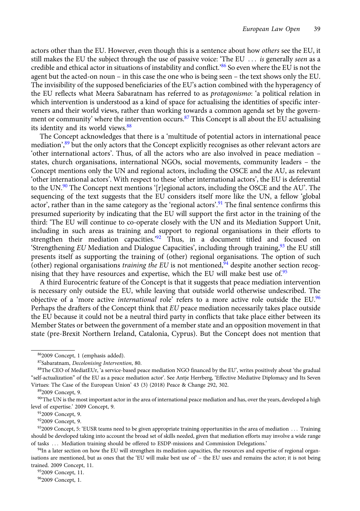actors other than the EU. However, even though this is a sentence about how *others* see the EU, it still makes the EU the subject through the use of passive voice: 'The EU ... is generally seen as a credible and ethical actor in situations of instability and conflict.'<sup>86</sup> So even where the EU is not the agent but the acted-on noun – in this case the one who is being seen – the text shows only the EU. The invisibility of the supposed beneficiaries of the EU's action combined with the hyperagency of the EU reflects what Meera Sabaratnam has referred to as *protagonismo*: 'a political relation in which intervention is understood as a kind of space for actualising the identities of specific interveners and their world views, rather than working towards a common agenda set by the government or community' where the intervention occurs.<sup>87</sup> This Concept is all about the EU actualising its identity and its world views.<sup>88</sup>

The Concept acknowledges that there is a 'multitude of potential actors in international peace mediation',<sup>89</sup> but the only actors that the Concept explicitly recognises as other relevant actors are 'other international actors'. Thus, of all the actors who are also involved in peace mediation – states, church organisations, international NGOs, social movements, community leaders – the Concept mentions only the UN and regional actors, including the OSCE and the AU, as relevant 'other international actors'. With respect to these 'other international actors', the EU is deferential to the UN.<sup>90</sup> The Concept next mentions '[r]egional actors, including the OSCE and the AU'. The sequencing of the text suggests that the EU considers itself more like the UN, a fellow 'global actor', rather than in the same category as the 'regional actors'.<sup>91</sup> The final sentence confirms this presumed superiority by indicating that the EU will support the first actor in the training of the third: 'The EU will continue to co-operate closely with the UN and its Mediation Support Unit, including in such areas as training and support to regional organisations in their efforts to strengthen their mediation capacities.' <sup>92</sup> Thus, in a document titled and focused on 'Strengthening EU Mediation and Dialogue Capacities', including through training,  $93$  the EU still presents itself as supporting the training of (other) regional organisations. The option of such (other) regional organisations *training the EU* is not mentioned,  $\frac{94}{4}$  despite another section recognising that they have resources and expertise, which the EU will make best use of.<sup>95</sup>

A third Eurocentric feature of the Concept is that it suggests that peace mediation intervention is necessary only outside the EU, while leaving that outside world otherwise undescribed. The objective of a 'more active *international* role' refers to a more active role outside the EU.<sup>96</sup> Perhaps the drafters of the Concept think that EU peace mediation necessarily takes place outside the EU because it could not be a neutral third party in conflicts that take place either between its Member States or between the government of a member state and an opposition movement in that state (pre-Brexit Northern Ireland, Catalonia, Cyprus). But the Concept does not mention that

952009 Concept, 11.

<sup>862009</sup> Concept, 1 (emphasis added).

<sup>87</sup>Sabaratnam, Decolonising Intervention, 80.

<sup>88</sup>The CEO of MediatEUr, 'a service-based peace mediation NGO financed by the EU', writes positively about 'the gradual "self-actualization" of the EU as a peace mediation actor'. See Antje Herrberg, 'Effective Mediative Diplomacy and Its Seven Virtues: The Case of the European Union' 43 (3) (2018) Peace & Change 292, 302.

<sup>892009</sup> Concept, 9.

<sup>&</sup>lt;sup>90</sup>The UN is the most important actor in the area of international peace mediation and has, over the years, developed a high level of expertise.' 2009 Concept, 9.

<sup>912009</sup> Concept, 9.

<sup>922009</sup> Concept, 9.

<sup>932009</sup> Concept, 5: 'EUSR teams need to be given appropriate training opportunities in the area of mediation ... Training should be developed taking into account the broad set of skills needed, given that mediation efforts may involve a wide range of tasks ... Mediation training should be offered to ESDP-missions and Commission Delegations.'

<sup>94</sup>In a later section on how the EU will strengthen its mediation capacities, the resources and expertise of regional organisations are mentioned, but as ones that the 'EU will make best use of  $-$  the EU uses and remains the actor; it is not being trained. 2009 Concept, 11.

<sup>962009</sup> Concept, 1.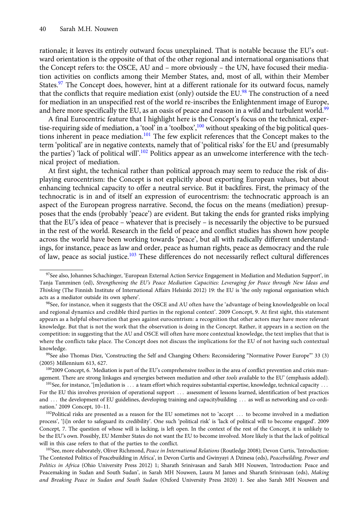rationale; it leaves its entirely outward focus unexplained. That is notable because the EU's outward orientation is the opposite of that of the other regional and international organisations that the Concept refers to: the OSCE, AU and – more obviously – the UN, have focused their mediation activities on conflicts among their Member States, and, most of all, within their Member States.<sup>97</sup> The Concept does, however, hint at a different rationale for its outward focus, namely that the conflicts that require mediation exist (only) outside the EU.<sup>98</sup> The construction of a need for mediation in an unspecified rest of the world re-inscribes the Enlightenment image of Europe, and here more specifically the EU, as an oasis of peace and reason in a wild and turbulent world.<sup>99</sup>

A final Eurocentric feature that I highlight here is the Concept's focus on the technical, expertise-requiring side of mediation, a 'tool' in a 'toolbox',<sup>100</sup> without speaking of the big political questions inherent in peace mediation.<sup>101</sup> The few explicit references that the Concept makes to the term 'political' are in negative contexts, namely that of 'political risks' for the EU and (presumably the parties') 'lack of political will'.<sup>102</sup> Politics appear as an unwelcome interference with the technical project of mediation.

At first sight, the technical rather than political approach may seem to reduce the risk of displaying eurocentrism: the Concept is not explicitly about exporting European values, but about enhancing technical capacity to offer a neutral service. But it backfires. First, the primacy of the technocratic is in and of itself an expression of eurocentrism: the technocratic approach is an aspect of the European progress narrative. Second, the focus on the means (mediation) presupposes that the ends (probably 'peace') are evident. But taking the ends for granted risks implying that the EU's idea of peace – whatever that is precisely – is necessarily the objective to be pursued in the rest of the world. Research in the field of peace and conflict studies has shown how people across the world have been working towards 'peace', but all with radically different understandings, for instance, peace as law and order, peace as human rights, peace as democracy and the rule of law, peace as social justice.<sup>103</sup> These differences do not necessarily reflect cultural differences

<sup>&</sup>lt;sup>97</sup>See also, Johannes Schachinger, 'European External Action Service Engagement in Mediation and Mediation Support', in Tanja Tamminen (ed), Strengthening the EU's Peace Mediation Capacities: Leveraging for Peace through New Ideas and Thinking (The Finnish Institute of International Affairs Helsinki 2012) 19: the EU is 'the only regional organisation which acts as a mediator outside its own sphere'.

<sup>&</sup>lt;sup>98</sup>See, for instance, when it suggests that the OSCE and AU often have the 'advantage of being knowledgeable on local and regional dynamics and credible third parties in the regional context'. 2009 Concept, 9. At first sight, this statement appears as a helpful observation that goes against eurocentrism: a recognition that other actors may have more relevant knowledge. But that is not the work that the observation is doing in the Concept. Rather, it appears in a section on the competition: in suggesting that the AU and OSCE will often have more contextual knowledge, the text implies that that is where the conflicts take place. The Concept does not discuss the implications for the EU of not having such contextual knowledge.

<sup>99</sup>See also Thomas Diez, 'Constructing the Self and Changing Others: Reconsidering "Normative Power Europe"' 33 (3) (2005) Millennium 613, 627.

 $1002009$  Concept, 6. 'Mediation is part of the EU's comprehensive toolbox in the area of conflict prevention and crisis management. There are strong linkages and synergies between mediation and other tools available to the EU' (emphasis added).

 $101$ See, for instance, '[m]ediation is  $\dots$  a team effort which requires substantial expertise, knowledge, technical capacity  $\dots$ For the EU this involves provision of operational support ... assessment of lessons learned, identification of best practices and ... the development of EU guidelines, developing training and capacitybuilding ... as well as networking and co-ordination.' 2009 Concept, 10–11.

<sup>&</sup>lt;sup>102</sup>Political risks are presented as a reason for the EU sometimes not to 'accept ... to become involved in a mediation process', '[i]n order to safeguard its credibility'. One such 'political risk' is 'lack of political will to become engaged'. 2009 Concept, 7. The question of whose will is lacking, is left open. In the context of the rest of the Concept, it is unlikely to be the EU's own. Possibly, EU Member States do not want the EU to become involved. More likely is that the lack of political will in this case refers to that of the parties to the conflict.

<sup>103</sup>See, more elaborately, Oliver Richmond, Peace in International Relations (Routledge 2008); Devon Curtis, 'Introduction: The Contested Politics of Peacebuilding in Africa', in Devon Curtis and Gwinyayi A Dzinesa (eds), Peacebuilding, Power and Politics in Africa (Ohio University Press 2012) 1; Sharath Srinivasan and Sarah MH Nouwen, 'Introduction: Peace and Peacemaking in Sudan and South Sudan', in Sarah MH Nouwen, Laura M James and Sharath Srinivasan (eds), Making and Breaking Peace in Sudan and South Sudan (Oxford University Press 2020) 1. See also Sarah MH Nouwen and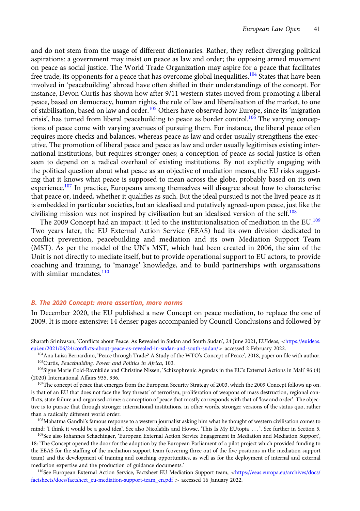and do not stem from the usage of different dictionaries. Rather, they reflect diverging political aspirations: a government may insist on peace as law and order; the opposing armed movement on peace as social justice. The World Trade Organization may aspire for a peace that facilitates free trade; its opponents for a peace that has overcome global inequalities.<sup>104</sup> States that have been involved in 'peacebuilding' abroad have often shifted in their understandings of the concept. For instance, Devon Curtis has shown how after 9/11 western states moved from promoting a liberal peace, based on democracy, human rights, the rule of law and liberalisation of the market, to one of stabilisation, based on law and order.<sup>105</sup> Others have observed how Europe, since its 'migration crisis', has turned from liberal peacebuilding to peace as border control.<sup>106</sup> The varying conceptions of peace come with varying avenues of pursuing them. For instance, the liberal peace often requires more checks and balances, whereas peace as law and order usually strengthens the executive. The promotion of liberal peace and peace as law and order usually legitimises existing international institutions, but requires stronger ones; a conception of peace as social justice is often seen to depend on a radical overhaul of existing institutions. By not explicitly engaging with the political question about what peace as an objective of mediation means, the EU risks suggesting that it knows what peace is supposed to mean across the globe, probably based on its own experience.<sup>107</sup> In practice, Europeans among themselves will disagree about how to characterise that peace or, indeed, whether it qualifies as such. But the ideal pursued is not the lived peace as it is embedded in particular societies, but an idealised and putatively agreed-upon peace, just like the civilising mission was not inspired by civilisation but an idealised version of the self.<sup>108</sup>

The 2009 Concept had an impact: it led to the institutionalisation of mediation in the EU.<sup>109</sup> Two years later, the EU External Action Service (EEAS) had its own division dedicated to conflict prevention, peacebuilding and mediation and its own Mediation Support Team (MST). As per the model of the UN's MST, which had been created in 2006, the aim of the Unit is not directly to mediate itself, but to provide operational support to EU actors, to provide coaching and training, to 'manage' knowledge, and to build partnerships with organisations with similar mandates.<sup>110</sup>

## B. The 2020 Concept: more assertion, more norms

In December 2020, the EU published a new Concept on peace mediation, to replace the one of 2009. It is more extensive: 14 denser pages accompanied by Council Conclusions and followed by

Sharath Srinivasan, 'Conflicts about Peace: As Revealed in Sudan and South Sudan', 24 June 2021, EUIdeas, <[https://euideas.](https://euideas.eui.eu/2021/06/24/conflicts-about-peace-as-revealed-in-sudan-and-south-sudan/) [eui.eu/2021/06/24/conflicts-about-peace-as-revealed-in-sudan-and-south-sudan/](https://euideas.eui.eu/2021/06/24/conflicts-about-peace-as-revealed-in-sudan-and-south-sudan/)> accessed 2 February 2022.

<sup>104</sup>Ana Luísa Bernardino, 'Peace through Trade? A Study of the WTO's Concept of Peace', 2018, paper on file with author. 105Curtis, Peacebuilding, Power and Politics in Africa, 103.

<sup>&</sup>lt;sup>106</sup>Signe Marie Cold-Ravnkilde and Christine Nissen, 'Schizophrenic Agendas in the EU's External Actions in Mali' 96 (4) (2020) International Affairs 935, 936.

<sup>107</sup>The concept of peace that emerges from the European Security Strategy of 2003, which the 2009 Concept follows up on, is that of an EU that does not face the 'key threats' of terrorism, proliferation of weapons of mass destruction, regional conflicts, state failure and organised crime: a conception of peace that mostly corresponds with that of 'law and order'. The objective is to pursue that through stronger international institutions, in other words, stronger versions of the status quo, rather than a radically different world order.

<sup>&</sup>lt;sup>108</sup>Mahatma Gandhi's famous response to a western journalist asking him what he thought of western civilisation comes to mind: 'I think it would be a good idea'. See also Nicolaïdis and Howse, 'This Is My EUtopia ::: '. See further in Section 5.

<sup>109</sup>See also Johannes Schachinger, 'European External Action Service Engagement in Mediation and Mediation Support', 18: 'The Concept opened the door for the adoption by the European Parliament of a pilot project which provided funding to the EEAS for the staffing of the mediation support team (covering three out of the five positions in the mediation support team) and the development of training and coaching opportunities, as well as for the deployment of internal and external mediation expertise and the production of guidance documents.'

<sup>&</sup>lt;sup>110</sup>See European External Action Service, Factsheet EU Mediation Support team, <[https://eeas.europa.eu/archives/docs/](https://eeas.europa.eu/archives/docs/factsheets/docs/factsheet_eu-mediation-support-team_en.pdf) [factsheets/docs/factsheet\\_eu-mediation-support-team\\_en.pdf](https://eeas.europa.eu/archives/docs/factsheets/docs/factsheet_eu-mediation-support-team_en.pdf) > accessed 16 January 2022.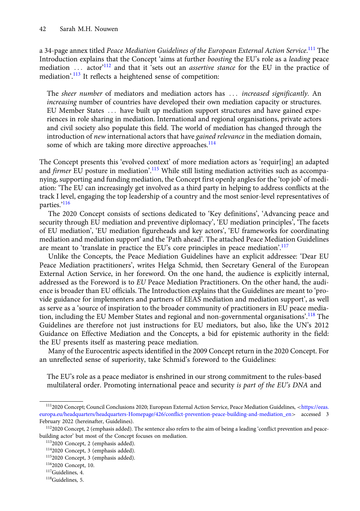a 34-page annex titled *Peace Mediation Guidelines of the European External Action Service.*<sup>111</sup> The Introduction explains that the Concept 'aims at further boosting the EU's role as a leading peace mediation ... actor<sup>'112</sup> and that it 'sets out an *assertive stance* for the EU in the practice of mediation'.<sup>113</sup> It reflects a heightened sense of competition:

The *sheer number* of mediators and mediation actors has ... *increased significantly*. An increasing number of countries have developed their own mediation capacity or structures. EU Member States ... have built up mediation support structures and have gained experiences in role sharing in mediation. International and regional organisations, private actors and civil society also populate this field. The world of mediation has changed through the introduction of new international actors that have gained relevance in the mediation domain, some of which are taking more directive approaches.<sup>114</sup>

The Concept presents this 'evolved context' of more mediation actors as 'requir[ing] an adapted and firmer EU posture in mediation'.<sup>115</sup> While still listing mediation activities such as accompanying, supporting and funding mediation, the Concept first openly angles for the 'top job' of mediation: 'The EU can increasingly get involved as a third party in helping to address conflicts at the track I level, engaging the top leadership of a country and the most senior-level representatives of parties.'<sup>116</sup>

The 2020 Concept consists of sections dedicated to 'Key definitions', 'Advancing peace and security through EU mediation and preventive diplomacy', 'EU mediation principles', 'The facets of EU mediation', 'EU mediation figureheads and key actors', 'EU frameworks for coordinating mediation and mediation support' and the 'Path ahead'. The attached Peace Mediation Guidelines are meant to 'translate in practice the EU's core principles in peace mediation'.<sup>117</sup>

Unlike the Concepts, the Peace Mediation Guidelines have an explicit addressee: 'Dear EU Peace Mediation practitioners', writes Helga Schmid, then Secretary General of the European External Action Service, in her foreword. On the one hand, the audience is explicitly internal, addressed as the Foreword is to EU Peace Mediation Practitioners. On the other hand, the audience is broader than EU officials. The Introduction explains that the Guidelines are meant to 'provide guidance for implementers and partners of EEAS mediation and mediation support', as well as serve as a 'source of inspiration to the broader community of practitioners in EU peace mediation, including the EU Member States and regional and non-governmental organisations'.<sup>118</sup> The Guidelines are therefore not just instructions for EU mediators, but also, like the UN's 2012 Guidance on Effective Mediation and the Concepts, a bid for epistemic authority in the field: the EU presents itself as mastering peace mediation.

Many of the Eurocentric aspects identified in the 2009 Concept return in the 2020 Concept. For an unreflected sense of superiority, take Schmid's foreword to the Guidelines:

The EU's role as a peace mediator is enshrined in our strong commitment to the rules-based multilateral order. Promoting international peace and security is part of the EU's DNA and

<sup>1112020</sup> Concept; Council Conclusions 2020; European External Action Service, Peace Mediation Guidelines, <[https://eeas.](https://eeas.europa.eu/headquarters/headquarters-Homepage/426/conflict-prevention-peace-building-and-mediation_en) [europa.eu/headquarters/headquarters-Homepage/426/conflict-prevention-peace-building-and-mediation\\_en](https://eeas.europa.eu/headquarters/headquarters-Homepage/426/conflict-prevention-peace-building-and-mediation_en)> accessed 3 February 2022 (hereinafter, Guidelines).

<sup>1122020</sup> Concept, 2 (emphasis added). The sentence also refers to the aim of being a leading 'conflict prevention and peacebuilding actor' but most of the Concept focuses on mediation.

<sup>1132020</sup> Concept, 2 (emphasis added).

<sup>1142020</sup> Concept, 3 (emphasis added).

<sup>1152020</sup> Concept, 3 (emphasis added).

<sup>1162020</sup> Concept, 10.

<sup>117</sup>Guidelines, 4.

<sup>118</sup>Guidelines, 5.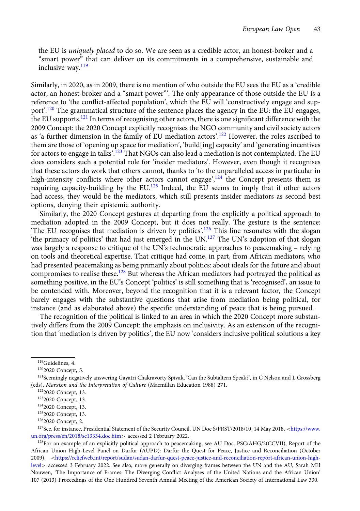the EU is uniquely placed to do so. We are seen as a credible actor, an honest-broker and a "smart power" that can deliver on its commitments in a comprehensive, sustainable and inclusive way.<sup>119</sup>

Similarly, in 2020, as in 2009, there is no mention of who outside the EU sees the EU as a 'credible actor, an honest-broker and a "smart power"'. The only appearance of those outside the EU is a reference to 'the conflict-affected population', which the EU will 'constructively engage and support'.<sup>120</sup> The grammatical structure of the sentence places the agency in the EU: the EU engages, the EU supports.<sup>121</sup> In terms of recognising other actors, there is one significant difference with the 2009 Concept: the 2020 Concept explicitly recognises the NGO community and civil society actors as 'a further dimension in the family of EU mediation actors'.<sup>122</sup> However, the roles ascribed to them are those of 'opening up space for mediation', 'build[ing] capacity' and 'generating incentives for actors to engage in talks'.<sup>123</sup> That NGOs can also lead a mediation is not contemplated. The EU does considers such a potential role for 'insider mediators'. However, even though it recognises that these actors do work that others cannot, thanks to 'to the unparalleled access in particular in high-intensity conflicts where other actors cannot engage',<sup>124</sup> the Concept presents them as requiring capacity-building by the  $EU$ .<sup>125</sup> Indeed, the EU seems to imply that if other actors had access, they would be the mediators, which still presents insider mediators as second best options, denying their epistemic authority.

Similarly, the 2020 Concept gestures at departing from the explicitly a political approach to mediation adopted in the 2009 Concept, but it does not really. The gesture is the sentence: 'The EU recognises that mediation is driven by politics'.<sup>126</sup> This line resonates with the slogan 'the primacy of politics' that had just emerged in the UN.<sup>127</sup> The UN's adoption of that slogan was largely a response to critique of the UN's technocratic approaches to peacemaking – relying on tools and theoretical expertise. That critique had come, in part, from African mediators, who had presented peacemaking as being primarily about politics: about ideals for the future and about compromises to realise these.<sup>128</sup> But whereas the African mediators had portrayed the political as something positive, in the EU's Concept 'politics' is still something that is 'recognised', an issue to be contended with. Moreover, beyond the recognition that it is a relevant factor, the Concept barely engages with the substantive questions that arise from mediation being political, for instance (and as elaborated above) the specific understanding of peace that is being pursued.

The recognition of the political is linked to an area in which the 2020 Concept more substantively differs from the 2009 Concept: the emphasis on inclusivity. As an extension of the recognition that 'mediation is driven by politics', the EU now 'considers inclusive political solutions a key

<sup>128</sup>For an example of an explicitly political approach to peacemaking, see AU Doc. PSC/AHG/2(CCVII), Report of the African Union High-Level Panel on Darfur (AUPD): Darfur the Quest for Peace, Justice and Reconciliation (October 2009), <[https://reliefweb.int/report/sudan/sudan-darfur-quest-peace-justice-and-reconciliation-report-african-union-high](https://reliefweb.int/report/sudan/sudan-darfur-quest-peace-justice-and-reconciliation-report-african-union-high-level)[level](https://reliefweb.int/report/sudan/sudan-darfur-quest-peace-justice-and-reconciliation-report-african-union-high-level)> accessed 3 February 2022. See also, more generally on diverging frames between the UN and the AU, Sarah MH Nouwen, 'The Importance of Frames: The Diverging Conflict Analyses of the United Nations and the African Union' 107 (2013) Proceedings of the One Hundred Seventh Annual Meeting of the American Society of International Law 330.

<sup>119</sup>Guidelines, 4.

<sup>&</sup>lt;sup>120</sup>2020 Concept, 5.

<sup>&</sup>lt;sup>121</sup>Seemingly negatively answering Gayatri Chakravorty Spivak, 'Can the Subtaltern Speak?', in C Nelson and L Grossberg (eds), Marxism and the Interpretation of Culture (Macmillan Education 1988) 271.

<sup>1222020</sup> Concept, 13.

<sup>1232020</sup> Concept, 13.

<sup>1242020</sup> Concept, 13.

<sup>1252020</sup> Concept, 13.

<sup>1262020</sup> Concept, 2.

<sup>&</sup>lt;sup>127</sup>See, for instance, Presidential Statement of the Security Council, UN Doc S/PRST/2018/10, 14 May 2018, <[https://www.](https://www.un.org/press/en/2018/sc13334.doc.htm) [un.org/press/en/2018/sc13334.doc.htm](https://www.un.org/press/en/2018/sc13334.doc.htm)> accessed 2 February 2022.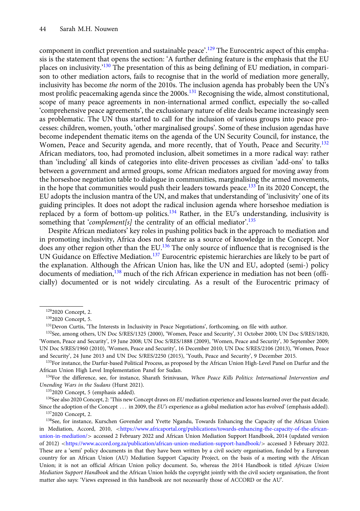component in conflict prevention and sustainable peace'.<sup>129</sup> The Eurocentric aspect of this emphasis is the statement that opens the section: 'A further defining feature is the emphasis that the EU places on inclusivity.<sup>'130</sup> The presentation of this as being defining of EU mediation, in comparison to other mediation actors, fails to recognise that in the world of mediation more generally, inclusivity has become the norm of the 2010s. The inclusion agenda has probably been the UN's most prolific peacemaking agenda since the 2000s.<sup>131</sup> Recognising the wide, almost constitutional, scope of many peace agreements in non-international armed conflict, especially the so-called 'comprehensive peace agreements', the exclusionary nature of elite deals became increasingly seen as problematic. The UN thus started to call for the inclusion of various groups into peace processes: children, women, youth, 'other marginalised groups'. Some of these inclusion agendas have become independent thematic items on the agenda of the UN Security Council, for instance, the Women, Peace and Security agenda, and more recently, that of Youth, Peace and Security.<sup>132</sup> African mediators, too, had promoted inclusion, albeit sometimes in a more radical way: rather than 'including' all kinds of categories into elite-driven processes as civilian 'add-ons' to talks between a government and armed groups, some African mediators argued for moving away from the horseshoe negotiation table to dialogue in communities, marginalising the armed movements, in the hope that communities would push their leaders towards peace.<sup>133</sup> In its 2020 Concept, the EU adopts the inclusion mantra of the UN, and makes that understanding of 'inclusivity' one of its guiding principles. It does not adopt the radical inclusion agenda where horseshoe mediation is replaced by a form of bottom-up politics.<sup>134</sup> Rather, in the EU's understanding, inclusivity is something that 'complement[s] the centrality of an official mediator'.<sup>135</sup>

Despite African mediators' key roles in pushing politics back in the approach to mediation and in promoting inclusivity, Africa does not feature as a source of knowledge in the Concept. Nor does any other region other than the EU.<sup>136</sup> The only source of influence that is recognised is the UN Guidance on Effective Mediation.<sup>137</sup> Eurocentric epistemic hierarchies are likely to be part of the explanation. Although the African Union has, like the UN and EU, adopted (semi-) policy documents of mediation,<sup>138</sup> much of the rich African experience in mediation has not been (officially) documented or is not widely circulating. As a result of the Eurocentric primacy of

<sup>133</sup>For instance, the Darfur-based Political Process, as proposed by the African Union High-Level Panel on Darfur and the African Union High Level Implementation Panel for Sudan.

<sup>134</sup>For the difference, see, for instance, Sharath Srinivasan, When Peace Kills Politics: International Intervention and Unending Wars in the Sudans (Hurst 2021).

<sup>136</sup>See also 2020 Concept, 2: 'This new Concept draws on EU mediation experience and lessons learned over the past decade. Since the adoption of the Concept  $\ldots$  in 2009, the EU's experience as a global mediation actor has evolved' (emphasis added). 1372020 Concept, 2.

<sup>1292020</sup> Concept, 2.

<sup>1302020</sup> Concept, 5.

<sup>&</sup>lt;sup>131</sup>Devon Curtis, 'The Interests in Inclusivity in Peace Negotiations', forthcoming, on file with author.

<sup>132</sup>See, among others, UN Doc S/RES/1325 (2000), 'Women, Peace and Security', 31 October 2000; UN Doc S/RES/1820, 'Women, Peace and Security', 19 June 2008; UN Doc S/RES/1888 (2009), 'Women, Peace and Security', 30 September 2009; UN Doc S/RES/1960 (2010), 'Women, Peace and Security', 16 December 2010; UN Doc S/RES/2106 (2013), 'Women, Peace and Security', 24 June 2013 and UN Doc S/RES/2250 (2015), 'Youth, Peace and Security', 9 December 2015.

<sup>&</sup>lt;sup>135</sup>2020 Concept, 5 (emphasis added).

<sup>&</sup>lt;sup>138</sup>See, for instance, Kurschen Govender and Yvette Ngandu, Towards Enhancing the Capacity of the African Union in Mediation, Accord, 2010, <[https://www.africaportal.org/publications/towards-enhancing-the-capacity-of-the-african](https://www.africaportal.org/publications/towards-enhancing-the-capacity-of-the-african-union-in-mediation/)[union-in-mediation/](https://www.africaportal.org/publications/towards-enhancing-the-capacity-of-the-african-union-in-mediation/)> accessed 2 February 2022 and African Union Mediation Support Handbook, 2014 (updated version of 2012) <<https://www.accord.org.za/publication/african-union-mediation-support-handbook/>> accessed 3 February 2022. These are a 'semi' policy documents in that they have been written by a civil society organisation, funded by a European country for an African Union (AU) Mediation Support Capacity Project, on the basis of a meeting with the African Union; it is not an official African Union policy document. So, whereas the 2014 Handbook is titled African Union Mediation Support Handbook and the African Union holds the copyright jointly with the civil society organisation, the front matter also says: 'Views expressed in this handbook are not necessarily those of ACCORD or the AU'.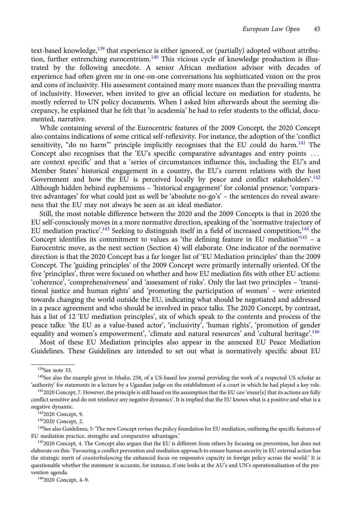text-based knowledge,<sup>139</sup> that experience is either ignored, or (partially) adopted without attribution, further entrenching eurocentrism.<sup>140</sup> This vicious cycle of knowledge production is illustrated by the following anecdote. A senior African mediation advisor with decades of experience had often given me in one-on-one conversations his sophisticated vision on the pros and cons of inclusivity. His assessment contained many more nuances than the prevailing mantra of inclusivity. However, when invited to give an official lecture on mediation for students, he mostly referred to UN policy documents. When I asked him afterwards about the seeming discrepancy, he explained that he felt that 'in academia' he had to refer students to the official, documented, narrative.

While containing several of the Eurocentric features of the 2009 Concept, the 2020 Concept also contains indications of some critical self-reflexivity. For instance, the adoption of the 'conflict sensitivity, "do no harm" principle implicitly recognises that the EU could do harm.<sup>141</sup> The Concept also recognises that the 'EU's specific comparative advantages and entry points ... are context specific' and that a 'series of circumstances influence this, including the EU's and Member States' historical engagement in a country, the EU's current relations with the host Government and how the EU is perceived locally by peace and conflict stakeholders'.<sup>142</sup> Although hidden behind euphemisms – 'historical engagement' for colonial presence; 'comparative advantages' for what could just as well be 'absolute no-go's' – the sentences do reveal awareness that the EU may not always be seen as an ideal mediator.

Still, the most notable difference between the 2020 and the 2009 Concepts is that in 2020 the EU self-consciously moves in a more normative direction, speaking of the 'normative trajectory of EU mediation practice'.<sup>143</sup> Seeking to distinguish itself in a field of increased competition,<sup>144</sup> the Concept identifies its commitment to values as 'the defining feature in EU mediation'<sup>145</sup> - a Eurocentric move, as the next section (Section 4) will elaborate. One indicator of the normative direction is that the 2020 Concept has a far longer list of 'EU Mediation principles' than the 2009 Concept. The 'guiding principles' of the 2009 Concept were primarily internally oriented. Of the five 'principles', three were focused on whether and how EU mediation fits with other EU actions: 'coherence', 'comprehensiveness' and 'assessment of risks'. Only the last two principles – 'transitional justice and human rights' and 'promoting the participation of women' – were oriented towards changing the world outside the EU, indicating what should be negotiated and addressed in a peace agreement and who should be involved in peace talks. The 2020 Concept, by contrast, has a list of 12 'EU mediation principles', six of which speak to the contents and process of the peace talks: 'the EU as a value-based actor', 'inclusivity', 'human rights', 'promotion of gender equality and women's empowerment', 'climate and natural resources' and 'cultural heritage'.<sup>146</sup>

Most of these EU Mediation principles also appear in the annexed EU Peace Mediation Guidelines. These Guidelines are intended to set out what is normatively specific about EU

1462020 Concept, 4–9.

<sup>139</sup>See note 33.

<sup>&</sup>lt;sup>140</sup>See also the example given in *Ithaka*, 258, of a US-based law journal providing the work of a respected US scholar as 'authority' for statements in a lecture by a Ugandan judge on the establishment of a court in which he had played a key role.

<sup>&</sup>lt;sup>141</sup>2020 Concept, 7. However, the principle is still based on the assumption that the EU can 'ensur[e] that its actions are fully conflict sensitive and do not reinforce any negative dynamics'. It is implied that the EU knows what is a positive and what is a negative dynamic.

<sup>1422020</sup> Concept, 9.

<sup>1432020</sup> Concept, 2.

<sup>144</sup>See also Guidelines, 5: 'The new Concept revises the policy foundation for EU mediation, outlining the specific features of EU mediation practice, strengths and comparative advantages.'

<sup>1452020</sup> Concept, 4. The Concept also argues that the EU is different from others by focusing on prevention, but does not elaborate on this: 'Favouring a conflict prevention and mediation approach to ensure human security in EU external action has the strategic merit of *counterbalancing* the enhanced focus on responsive capacity in foreign policy across the world.' It is questionable whether the statement is accurate, for instance, if one looks at the AU's and UN's operationalisation of the prevention agenda.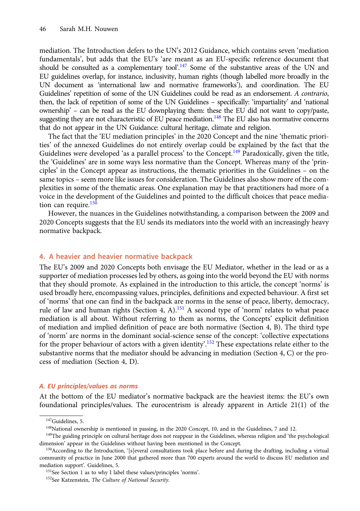mediation. The Introduction defers to the UN's 2012 Guidance, which contains seven 'mediation fundamentals', but adds that the EU's 'are meant as an EU-specific reference document that should be consulted as a complementary tool'.<sup>147</sup> Some of the substantive areas of the UN and EU guidelines overlap, for instance, inclusivity, human rights (though labelled more broadly in the UN document as 'international law and normative frameworks'), and coordination. The EU Guidelines' repetition of some of the UN Guidelines could be read as an endorsement. A contrario, then, the lack of repetition of some of the UN Guidelines – specifically: 'impartiality' and 'national ownership' – can be read as the EU downplaying them: these the EU did not want to copy/paste, suggesting they are not characteristic of EU peace mediation.<sup>148</sup> The EU also has normative concerns that do not appear in the UN Guidance: cultural heritage, climate and religion.

The fact that the 'EU mediation principles' in the 2020 Concept and the nine 'thematic priorities' of the annexed Guidelines do not entirely overlap could be explained by the fact that the Guidelines were developed 'as a parallel process' to the Concept.<sup>149</sup> Paradoxically, given the title, the 'Guidelines' are in some ways less normative than the Concept. Whereas many of the 'principles' in the Concept appear as instructions, the thematic priorities in the Guidelines – on the same topics – seem more like issues for consideration. The Guidelines also show more of the complexities in some of the thematic areas. One explanation may be that practitioners had more of a voice in the development of the Guidelines and pointed to the difficult choices that peace mediation can require.<sup>150</sup>

However, the nuances in the Guidelines notwithstanding, a comparison between the 2009 and 2020 Concepts suggests that the EU sends its mediators into the world with an increasingly heavy normative backpack.

## 4. A heavier and heavier normative backpack

The EU's 2009 and 2020 Concepts both envisage the EU Mediator, whether in the lead or as a supporter of mediation processes led by others, as going into the world beyond the EU with norms that they should promote. As explained in the introduction to this article, the concept 'norms' is used broadly here, encompassing values, principles, definitions and expected behaviour. A first set of 'norms' that one can find in the backpack are norms in the sense of peace, liberty, democracy, rule of law and human rights (Section 4, A).<sup>151</sup> A second type of 'norm' relates to what peace mediation is all about. Without referring to them as norms, the Concepts' explicit definition of mediation and implied definition of peace are both normative (Section 4, B). The third type of 'norm' are norms in the dominant social-science sense of the concept: 'collective expectations for the proper behaviour of actors with a given identity'.<sup>152</sup> These expectations relate either to the substantive norms that the mediator should be advancing in mediation (Section 4, C) or the process of mediation (Section 4, D).

### A. EU principles/values as norms

At the bottom of the EU mediator's normative backpack are the heaviest items: the EU's own foundational principles/values. The eurocentrism is already apparent in Article 21(1) of the

<sup>&</sup>lt;sup>147</sup>Guidelines, 5.

<sup>148</sup>National ownership is mentioned in passing, in the 2020 Concept, 10, and in the Guidelines, 7 and 12.

<sup>&</sup>lt;sup>149</sup>The guiding principle on cultural heritage does not reappear in the Guidelines, whereas religion and 'the psychological dimension' appear in the Guidelines without having been mentioned in the Concept.

<sup>&</sup>lt;sup>150</sup>According to the Introduction, '[s]everal consultations took place before and during the drafting, including a virtual community of practice in June 2000 that gathered more than 700 experts around the world to discuss EU mediation and mediation support'. Guidelines, 5.

<sup>151</sup>See Section 1 as to why I label these values/principles 'norms'.

<sup>&</sup>lt;sup>152</sup>See Katzenstein, The Culture of National Security.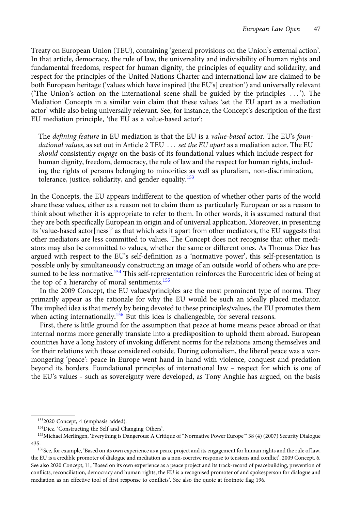Treaty on European Union (TEU), containing 'general provisions on the Union's external action'. In that article, democracy, the rule of law, the universality and indivisibility of human rights and fundamental freedoms, respect for human dignity, the principles of equality and solidarity, and respect for the principles of the United Nations Charter and international law are claimed to be both European heritage ('values which have inspired [the EU's] creation') and universally relevant ('The Union's action on the international scene shall be guided by the principles ::: '). The Mediation Concepts in a similar vein claim that these values 'set the EU apart as a mediation actor' while also being universally relevant. See, for instance, the Concept's description of the first EU mediation principle, 'the EU as a value-based actor':

The defining feature in EU mediation is that the EU is a value-based actor. The EU's foundational values, as set out in Article 2 TEU  $\ldots$  set the EU apart as a mediation actor. The EU should consistently engage on the basis of its foundational values which include respect for human dignity, freedom, democracy, the rule of law and the respect for human rights, including the rights of persons belonging to minorities as well as pluralism, non-discrimination, tolerance, justice, solidarity, and gender equality.<sup>153</sup>

In the Concepts, the EU appears indifferent to the question of whether other parts of the world share these values, either as a reason not to claim them as particularly European or as a reason to think about whether it is appropriate to refer to them. In other words, it is assumed natural that they are both specifically European in origin and of universal application. Moreover, in presenting its 'value-based actor[ness]' as that which sets it apart from other mediators, the EU suggests that other mediators are less committed to values. The Concept does not recognise that other mediators may also be committed to values, whether the same or different ones. As Thomas Diez has argued with respect to the EU's self-definition as a 'normative power', this self-presentation is possible only by simultaneously constructing an image of an outside world of others who are presumed to be less normative.<sup>154</sup> This self-representation reinforces the Eurocentric idea of being at the top of a hierarchy of moral sentiments.<sup>155</sup>

In the 2009 Concept, the EU values/principles are the most prominent type of norms. They primarily appear as the rationale for why the EU would be such an ideally placed mediator. The implied idea is that merely by being devoted to these principles/values, the EU promotes them when acting internationally.<sup>156</sup> But this idea is challengeable, for several reasons.

First, there is little ground for the assumption that peace at home means peace abroad or that internal norms more generally translate into a predisposition to uphold them abroad. European countries have a long history of invoking different norms for the relations among themselves and for their relations with those considered outside. During colonialism, the liberal peace was a warmongering 'peace': peace in Europe went hand in hand with violence, conquest and predation beyond its borders. Foundational principles of international law – respect for which is one of the EU's values - such as sovereignty were developed, as Tony Anghie has argued, on the basis

<sup>1532020</sup> Concept, 4 (emphasis added).

<sup>154</sup>Diez, 'Constructing the Self and Changing Others'.

<sup>&</sup>lt;sup>155</sup>Michael Merlingen, 'Everything is Dangerous: A Critique of "Normative Power Europe"' 38 (4) (2007) Security Dialogue 435.

<sup>&</sup>lt;sup>156</sup>See, for example, 'Based on its own experience as a peace project and its engagement for human rights and the rule of law, the EU is a credible promoter of dialogue and mediation as a non-coercive response to tensions and conflict', 2009 Concept, 6. See also 2020 Concept, 11, 'Based on its own experience as a peace project and its track-record of peacebuilding, prevention of conflicts, reconciliation, democracy and human rights, the EU is a recognised promoter of and spokesperson for dialogue and mediation as an effective tool of first response to conflicts'. See also the quote at footnote flag 196.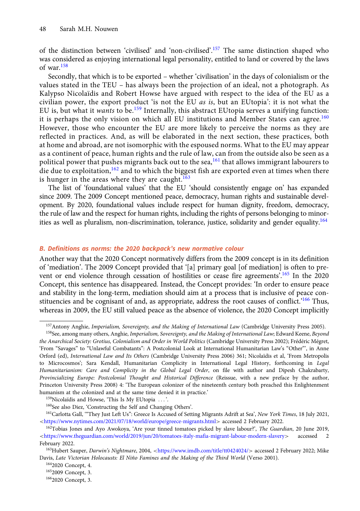of the distinction between 'civilised' and 'non-civilised'.<sup>157</sup> The same distinction shaped who was considered as enjoying international legal personality, entitled to land or covered by the laws of war. $158$ 

Secondly, that which is to be exported – whether 'civilisation' in the days of colonialism or the values stated in the TEU – has always been the projection of an ideal, not a photograph. As Kalypso Nicolaïdis and Robert Howse have argued with respect to the idea of the EU as a civilian power, the export product 'is not the EU as is, but an EUtopia': it is not what the EU is, but what it wants to be.<sup>159</sup> Internally, this abstract EUtopia serves a unifying function: it is perhaps the only vision on which all EU institutions and Member States can agree.<sup>160</sup> However, those who encounter the EU are more likely to perceive the norms as they are reflected in practices. And, as will be elaborated in the next section, these practices, both at home and abroad, are not isomorphic with the espoused norms. What to the EU may appear as a continent of peace, human rights and the rule of law, can from the outside also be seen as a political power that pushes migrants back out to the sea,<sup>161</sup> that allows immigrant labourers to die due to exploitation,  $162$  and to which the biggest fish are exported even at times when there is hunger in the areas where they are caught.<sup>163</sup>

The list of 'foundational values' that the EU 'should consistently engage on' has expanded since 2009. The 2009 Concept mentioned peace, democracy, human rights and sustainable development. By 2020, foundational values include respect for human dignity, freedom, democracy, the rule of law and the respect for human rights, including the rights of persons belonging to minorities as well as pluralism, non-discrimination, tolerance, justice, solidarity and gender equality.<sup>164</sup>

## B. Definitions as norms: the 2020 backpack's new normative colour

Another way that the 2020 Concept normatively differs from the 2009 concept is in its definition of 'mediation'. The 2009 Concept provided that '[a] primary goal [of mediation] is often to prevent or end violence through cessation of hostilities or cease fire agreements'.<sup>165</sup> In the 2020 Concept, this sentence has disappeared. Instead, the Concept provides: 'In order to ensure peace and stability in the long-term, mediation should aim at a process that is inclusive of peace constituencies and be cognisant of and, as appropriate, address the root causes of conflict.<sup>166</sup> Thus, whereas in 2009, the EU still valued peace as the absence of violence, the 2020 Concept implicitly

 $159$ Nicolaïdis and Howse, 'This Is My EUtopia  $\ldots$ '.

160See also Diez, 'Constructing the Self and Changing Others'.

<sup>&</sup>lt;sup>157</sup>Antony Anghie, Imperialism, Sovereignty, and the Making of International Law (Cambridge University Press 2005).

<sup>&</sup>lt;sup>158</sup>See, among many others, Anghie, Imperialism, Sovereignty, and the Making of International Law; Edward Keene, Beyond the Anarchical Society: Grotius, Colonialism and Order in World Politics (Cambridge University Press 2002); Frédéric Mégret, 'From "Savages" to "Unlawful Combatants": A Postcolonial Look at International Humanitarian Law's "Other"', in Anne Orford (ed), International Law and Its Others (Cambridge University Press 2006) 361; Nicolaïdis et al, 'From Metropolis to Microcosmos'; Sara Kendall, Humanitarian Complicity in International Legal History, forthcoming in Legal Humanitarianism: Care and Complicity in the Global Legal Order, on file with author and Dipesh Chakrabarty, Provincializing Europe: Postcolonial Thought and Historical Difference (Reissue, with a new preface by the author, Princeton University Press 2008) 4: 'The European colonizer of the nineteenth century both preached this Enlightenment humanism at the colonized and at the same time denied it in practice.'

<sup>&</sup>lt;sup>161</sup>Carlotta Gall, "They Just Left Us": Greece Is Accused of Setting Migrants Adrift at Sea', New York Times, 18 July 2021, <<https://www.nytimes.com/2021/07/18/world/europe/greece-migrants.html>> accessed 2 February 2022.

<sup>&</sup>lt;sup>162</sup>Tobias Jones and Ayo Awokoya, 'Are your tinned tomatoes picked by slave labour?', The Guardian, 20 June 2019, <<https://www.theguardian.com/world/2019/jun/20/tomatoes-italy-mafia-migrant-labour-modern-slavery>> accessed 2 February 2022.

<sup>&</sup>lt;sup>163</sup>Hubert Sauper, Darwin's Nightmare, 2004, <<https://www.imdb.com/title/tt0424024/>> accessed 2 February 2022; Mike Davis, Late Victorian Holocausts: El Niño Famines and the Making of the Third World (Verso 2001).

<sup>1642020</sup> Concept, 4.

<sup>1652009</sup> Concept, 3.

<sup>1662020</sup> Concept, 3.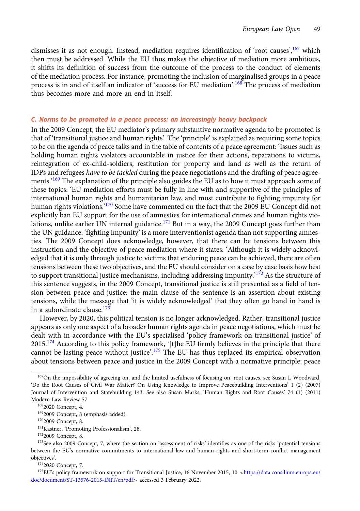dismisses it as not enough. Instead, mediation requires identification of 'root causes', <sup>167</sup> which then must be addressed. While the EU thus makes the objective of mediation more ambitious, it shifts its definition of success from the outcome of the process to the conduct of elements of the mediation process. For instance, promoting the inclusion of marginalised groups in a peace process is in and of itself an indicator of 'success for EU mediation'. <sup>168</sup> The process of mediation thus becomes more and more an end in itself.

# C. Norms to be promoted in a peace process: an increasingly heavy backpack

In the 2009 Concept, the EU mediator's primary substantive normative agenda to be promoted is that of 'transitional justice and human rights'. The 'principle' is explained as requiring some topics to be on the agenda of peace talks and in the table of contents of a peace agreement: 'Issues such as holding human rights violators accountable in justice for their actions, reparations to victims, reintegration of ex-child-soldiers, restitution for property and land as well as the return of IDPs and refugees have to be tackled during the peace negotiations and the drafting of peace agreements.' <sup>169</sup> The explanation of the principle also guides the EU as to how it must approach some of these topics: 'EU mediation efforts must be fully in line with and supportive of the principles of international human rights and humanitarian law, and must contribute to fighting impunity for human rights violations.' <sup>170</sup> Some have commented on the fact that the 2009 EU Concept did not explicitly ban EU support for the use of amnesties for international crimes and human rights violations, unlike earlier UN internal guidance.<sup>171</sup> But in a way, the 2009 Concept goes further than the UN guidance: 'fighting impunity' is a more interventionist agenda than not supporting amnesties. The 2009 Concept does acknowledge, however, that there can be tensions between this instruction and the objective of peace mediation where it states: 'Although it is widely acknowledged that it is only through justice to victims that enduring peace can be achieved, there are often tensions between these two objectives, and the EU should consider on a case by case basis how best to support transitional justice mechanisms, including addressing impunity.'<sup>172</sup> As the structure of this sentence suggests, in the 2009 Concept, transitional justice is still presented as a field of tension between peace and justice: the main clause of the sentence is an assertion about existing tensions, while the message that 'it is widely acknowledged' that they often go hand in hand is in a subordinate clause.<sup>173</sup>

However, by 2020, this political tension is no longer acknowledged. Rather, transitional justice appears as only one aspect of a broader human rights agenda in peace negotiations, which must be dealt with in accordance with the EU's specialised 'policy framework on transitional justice' of 2015.<sup>174</sup> According to this policy framework, '[t]he EU firmly believes in the principle that there cannot be lasting peace without justice'.<sup>175</sup> The EU has thus replaced its empirical observation about tensions between peace and justice in the 2009 Concept with a normative principle: peace

<sup>&</sup>lt;sup>167</sup>On the impossibility of agreeing on, and the limited usefulness of focusing on, root causes, see Susan L Woodward, 'Do the Root Causes of Civil War Matter? On Using Knowledge to Improve Peacebuilding Interventions' 1 (2) (2007) Journal of Intervention and Statebuilding 143. See also Susan Marks, 'Human Rights and Root Causes' 74 (1) (2011) Modern Law Review 57.

<sup>1682020</sup> Concept, 4.

<sup>1692009</sup> Concept, 8 (emphasis added).

<sup>1702009</sup> Concept, 8.

<sup>171</sup>Kastner, 'Promoting Professionalism', 28.

<sup>1722009</sup> Concept, 8.

<sup>173</sup>See also 2009 Concept, 7, where the section on 'assessment of risks' identifies as one of the risks 'potential tensions between the EU's normative commitments to international law and human rights and short-term conflict management objectives'.

<sup>1742020</sup> Concept, 7.

<sup>&</sup>lt;sup>175</sup>EU's policy framework on support for Transitional Justice, 16 November 2015, 10 <[https://data.consilium.europa.eu/](https://data.consilium.europa.eu/doc/document/ST-13576-2015-INIT/en/pdf) [doc/document/ST-13576-2015-INIT/en/pdf](https://data.consilium.europa.eu/doc/document/ST-13576-2015-INIT/en/pdf)> accessed 3 February 2022.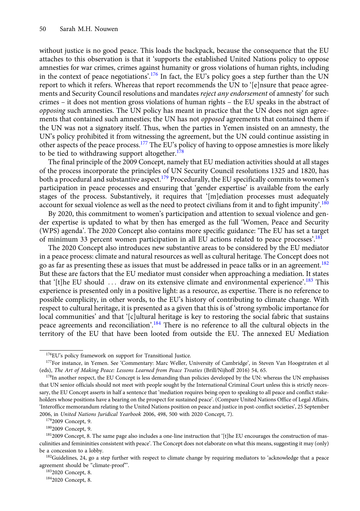without justice is no good peace. This loads the backpack, because the consequence that the EU attaches to this observation is that it 'supports the established United Nations policy to oppose amnesties for war crimes, crimes against humanity or gross violations of human rights, including in the context of peace negotiations'.<sup>176</sup> In fact, the EU's policy goes a step further than the UN report to which it refers. Whereas that report recommends the UN to '[e]nsure that peace agreements and Security Council resolutions and mandates reject any endorsement of amnesty' for such crimes – it does not mention gross violations of human rights – the EU speaks in the abstract of opposing such amnesties. The UN policy has meant in practice that the UN does not sign agreements that contained such amnesties; the UN has not *opposed* agreements that contained them if the UN was not a signatory itself. Thus, when the parties in Yemen insisted on an amnesty, the UN's policy prohibited it from witnessing the agreement, but the UN could continue assisting in other aspects of the peace process.<sup>177</sup> The EU's policy of having to oppose amnesties is more likely to be tied to withdrawing support altogether. $178$ 

The final principle of the 2009 Concept, namely that EU mediation activities should at all stages of the process incorporate the principles of UN Security Council resolutions 1325 and 1820, has both a procedural and substantive aspect.<sup>179</sup> Procedurally, the EU specifically commits to women's participation in peace processes and ensuring that 'gender expertise' is available from the early stages of the process. Substantively, it requires that '[m]ediation processes must adequately account for sexual violence as well as the need to protect civilians from it and to fight impunity'.<sup>180</sup>

By 2020, this commitment to women's participation and attention to sexual violence and gender expertise is updated to what by then has emerged as the full 'Women, Peace and Security (WPS) agenda'. The 2020 Concept also contains more specific guidance: 'The EU has set a target of minimum 33 percent women participation in all EU actions related to peace processes'.<sup>181</sup>

The 2020 Concept also introduces new substantive areas to be considered by the EU mediator in a peace process: climate and natural resources as well as cultural heritage. The Concept does not go as far as presenting these as issues that must be addressed in peace talks or in an agreement.<sup>182</sup> But these are factors that the EU mediator must consider when approaching a mediation. It states that '[t]he EU should ... draw on its extensive climate and environmental experience'.<sup>183</sup> This experience is presented only in a positive light: as a resource, as expertise. There is no reference to possible complicity, in other words, to the EU's history of contributing to climate change. With respect to cultural heritage, it is presented as a given that this is of 'strong symbolic importance for local communities' and that '[c]ultural heritage is key to restoring the social fabric that sustains peace agreements and reconciliation'.<sup>184</sup> There is no reference to all the cultural objects in the territory of the EU that have been looted from outside the EU. The annexed EU Mediation

1832020 Concept, 8.

<sup>&</sup>lt;sup>176</sup>EU's policy framework on support for Transitional Justice.

<sup>177</sup>For instance, in Yemen. See 'Commentary: Marc Weller, University of Cambridge', in Steven Van Hoogstraten et al (eds), The Art of Making Peace: Lessons Learned from Peace Treaties (Brill/Nijhoff 2016) 54, 65.

<sup>&</sup>lt;sup>178</sup>In another respect, the EU Concept is less demanding than policies developed by the UN: whereas the UN emphasises that UN senior officials should not meet with people sought by the International Criminal Court unless this is strictly necessary, the EU Concept asserts in half a sentence that 'mediation requires being open to speaking to all peace and conflict stakeholders whose positions have a bearing on the prospect for sustained peace'. (Compare United Nations Office of Legal Affairs, 'Interoffice memorandum relating to the United Nations position on peace and justice in post-conflict societies', 25 September 2006, in United Nations Juridical Yearbook 2006, 498, 500 with 2020 Concept, 7).

<sup>&</sup>lt;sup>179</sup>2009 Concept, 9.

<sup>1802009</sup> Concept, 9.

<sup>1812009</sup> Concept, 8. The same page also includes a one-line instruction that '[t]he EU encourages the construction of masculinities and femininities consistent with peace'. The Concept does not elaborate on what this means, suggesting it may (only) be a concession to a lobby.

<sup>&</sup>lt;sup>182</sup>Guidelines, 24, go a step further with respect to climate change by requiring mediators to 'acknowledge that a peace agreement should be "climate-proof"'.

<sup>1842020</sup> Concept, 8.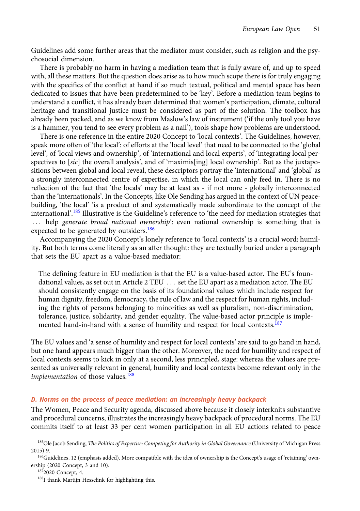Guidelines add some further areas that the mediator must consider, such as religion and the psychosocial dimension.

There is probably no harm in having a mediation team that is fully aware of, and up to speed with, all these matters. But the question does arise as to how much scope there is for truly engaging with the specifics of the conflict at hand if so much textual, political and mental space has been dedicated to issues that have been predetermined to be 'key'. Before a mediation team begins to understand a conflict, it has already been determined that women's participation, climate, cultural heritage and transitional justice must be considered as part of the solution. The toolbox has already been packed, and as we know from Maslow's law of instrument ('if the only tool you have is a hammer, you tend to see every problem as a nail'), tools shape how problems are understood.

There is one reference in the entire 2020 Concept to 'local contexts'. The Guidelines, however, speak more often of 'the local': of efforts at the 'local level' that need to be connected to the 'global level', of 'local views and ownership', of 'international and local experts', of 'integrating local perspectives to [sic] the overall analysis', and of 'maximis[ing] local ownership'. But as the juxtapositions between global and local reveal, these descriptors portray the 'international' and 'global' as a strongly interconnected centre of expertise, in which the local can only feed in. There is no reflection of the fact that 'the locals' may be at least as - if not more - globally interconnected than the 'internationals'. In the Concepts, like Ole Sending has argued in the context of UN peacebuilding, 'the local' 'is a product of and systematically made subordinate to the concept of the international'. <sup>185</sup> Illustrative is the Guideline's reference to 'the need for mediation strategies that ... help generate broad national ownership': even national ownership is something that is expected to be generated by outsiders.<sup>186</sup>

Accompanying the 2020 Concept's lonely reference to 'local contexts' is a crucial word: humility. But both terms come literally as an after thought: they are textually buried under a paragraph that sets the EU apart as a value-based mediator:

The defining feature in EU mediation is that the EU is a value-based actor. The EU's foundational values, as set out in Article 2 TEU ... set the EU apart as a mediation actor. The EU should consistently engage on the basis of its foundational values which include respect for human dignity, freedom, democracy, the rule of law and the respect for human rights, including the rights of persons belonging to minorities as well as pluralism, non-discrimination, tolerance, justice, solidarity, and gender equality. The value-based actor principle is implemented hand-in-hand with a sense of humility and respect for local contexts.<sup>187</sup>

The EU values and 'a sense of humility and respect for local contexts' are said to go hand in hand, but one hand appears much bigger than the other. Moreover, the need for humility and respect of local contexts seems to kick in only at a second, less principled, stage: whereas the values are presented as universally relevant in general, humility and local contexts become relevant only in the *implementation* of those values.<sup>188</sup>

### D. Norms on the process of peace mediation: an increasingly heavy backpack

The Women, Peace and Security agenda, discussed above because it closely interknits substantive and procedural concerns, illustrates the increasingly heavy backpack of procedural norms. The EU commits itself to at least 33 per cent women participation in all EU actions related to peace

<sup>&</sup>lt;sup>185</sup>Ole Jacob Sending, The Politics of Expertise: Competing for Authority in Global Governance (University of Michigan Press 2015) 9.

<sup>186</sup>Guidelines, 12 (emphasis added). More compatible with the idea of ownership is the Concept's usage of 'retaining' ownership (2020 Concept, 3 and 10).

<sup>1872020</sup> Concept, 4.

<sup>188</sup>I thank Martijn Hesselink for highlighting this.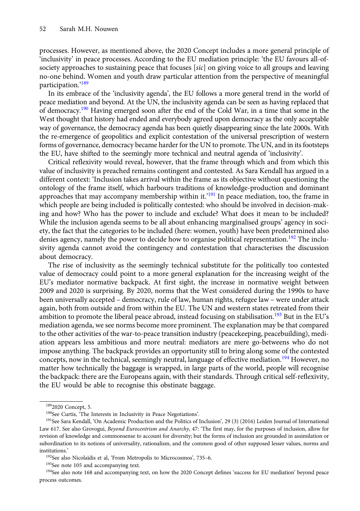processes. However, as mentioned above, the 2020 Concept includes a more general principle of 'inclusivity' in peace processes. According to the EU mediation principle: 'the EU favours all-ofsociety approaches to sustaining peace that focuses [sic] on giving voice to all groups and leaving no-one behind. Women and youth draw particular attention from the perspective of meaningful participation.'<sup>189</sup>

In its embrace of the 'inclusivity agenda', the EU follows a more general trend in the world of peace mediation and beyond. At the UN, the inclusivity agenda can be seen as having replaced that of democracy.<sup>190</sup> Having emerged soon after the end of the Cold War, in a time that some in the West thought that history had ended and everybody agreed upon democracy as the only acceptable way of governance, the democracy agenda has been quietly disappearing since the late 2000s. With the re-emergence of geopolitics and explicit contestation of the universal prescription of western forms of governance, democracy became harder for the UN to promote. The UN, and in its footsteps the EU, have shifted to the seemingly more technical and neutral agenda of 'inclusivity'.

Critical reflexivity would reveal, however, that the frame through which and from which this value of inclusivity is preached remains contingent and contested. As Sara Kendall has argued in a different context: 'Inclusion takes arrival within the frame as its objective without questioning the ontology of the frame itself, which harbours traditions of knowledge-production and dominant approaches that may accompany membership within it.'<sup>191</sup> In peace mediation, too, the frame in which people are being included is politically contested: who should be involved in decision-making and how? Who has the power to include and exclude? What does it mean to be included? While the inclusion agenda seems to be all about enhancing marginalised groups' agency in society, the fact that the categories to be included (here: women, youth) have been predetermined also denies agency, namely the power to decide how to organise political representation.<sup>192</sup> The inclusivity agenda cannot avoid the contingency and contestation that characterises the discussion about democracy.

The rise of inclusivity as the seemingly technical substitute for the politically too contested value of democracy could point to a more general explanation for the increasing weight of the EU's mediator normative backpack. At first sight, the increase in normative weight between 2009 and 2020 is surprising. By 2020, norms that the West considered during the 1990s to have been universally accepted – democracy, rule of law, human rights, refugee law – were under attack again, both from outside and from within the EU. The UN and western states retreated from their ambition to promote the liberal peace abroad, instead focusing on stabilisation.<sup>193</sup> But in the EU's mediation agenda, we see norms become more prominent. The explanation may be that compared to the other activities of the war-to-peace transition industry (peacekeeping, peacebuilding), mediation appears less ambitious and more neutral: mediators are mere go-betweens who do not impose anything. The backpack provides an opportunity still to bring along some of the contested concepts, now in the technical, seemingly neutral, language of effective mediation.<sup>194</sup> However, no matter how technically the baggage is wrapped, in large parts of the world, people will recognise the backpack: there are the Europeans again, with their standards. Through critical self-reflexivity, the EU would be able to recognise this obstinate baggage.

<sup>1892020</sup> Concept, 5.

<sup>190</sup>See Curtis, 'The Interests in Inclusivity in Peace Negotiations'.

<sup>&</sup>lt;sup>191</sup>See Sara Kendall, 'On Academic Production and the Politics of Inclusion', 29 (3) (2016) Leiden Journal of International Law 617. See also Grovogui, Beyond Eurocentrism and Anarchy, 47: 'The first may, for the purposes of inclusion, allow for revision of knowledge and commonsense to account for diversity; but the forms of inclusion are grounded in assimilation or subordination to its notions of universality, rationalism, and the common good of other supposed lesser values, norms and institutions.'

<sup>192</sup>See also Nicolaïdis et al, 'From Metropolis to Microcosmos', 735–6.

<sup>&</sup>lt;sup>193</sup>See note 105 and accompanying text.

<sup>&</sup>lt;sup>194</sup>See also note 168 and accompanying text, on how the 2020 Concept defines 'success for EU mediation' beyond peace process outcomes.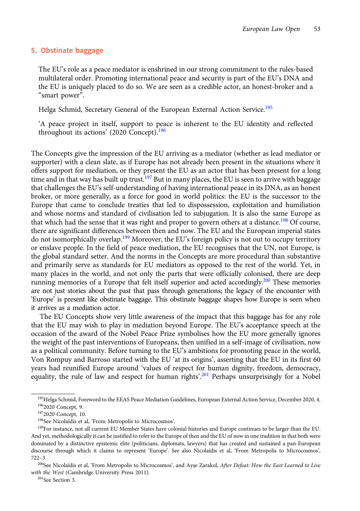# 5. Obstinate baggage

The EU's role as a peace mediator is enshrined in our strong commitment to the rules-based multilateral order. Promoting international peace and security is part of the EU's DNA and the EU is uniquely placed to do so. We are seen as a credible actor, an honest-broker and a "smart power".

Helga Schmid, Secretary General of the European External Action Service.<sup>195</sup>

'A peace project in itself, support to peace is inherent to the EU identity and reflected throughout its actions' (2020 Concept).<sup>196</sup>

The Concepts give the impression of the EU arriving as a mediator (whether as lead mediator or supporter) with a clean slate, as if Europe has not already been present in the situations where it offers support for mediation, or they present the EU as an actor that has been present for a long time and in that way has built up trust.<sup>197</sup> But in many places, the EU is seen to arrive with baggage that challenges the EU's self-understanding of having international peace in its DNA, as an honest broker, or more generally, as a force for good in world politics: the EU is the successor to the Europe that came to conclude treaties that led to dispossession, exploitation and humiliation and whose norms and standard of civilisation led to subjugation. It is also the same Europe as that which had the sense that it was right and proper to govern others at a distance.<sup>198</sup> Of course, there are significant differences between then and now. The EU and the European imperial states do not isomorphically overlap.<sup>199</sup> Moreover, the EU's foreign policy is not out to occupy territory or enslave people. In the field of peace mediation, the EU recognises that the UN, not Europe, is the global standard setter. And the norms in the Concepts are more procedural than substantive and primarily serve as standards for EU mediators as opposed to the rest of the world. Yet, in many places in the world, and not only the parts that were officially colonised, there are deep running memories of a Europe that felt itself superior and acted accordingly.<sup>200</sup> These memories are not just stories about the past that pass through generations; the legacy of the encounter with 'Europe' is present like obstinate baggage. This obstinate baggage shapes how Europe is seen when it arrives as a mediation actor.

The EU Concepts show very little awareness of the impact that this baggage has for any role that the EU may wish to play in mediation beyond Europe. The EU's acceptance speech at the occasion of the award of the Nobel Peace Prize symbolises how the EU more generally ignores the weight of the past interventions of Europeans, then unified in a self-image of civilisation, now as a political community. Before turning to the EU's ambitions for promoting peace in the world, Von Rompuy and Barroso started with the EU 'at its origins', asserting that the EU in its first 60 years had reunified Europe around 'values of respect for human dignity, freedom, democracy, equality, the rule of law and respect for human rights'.<sup>201</sup> Perhaps unsurprisingly for a Nobel

<sup>&</sup>lt;sup>195</sup>Helga Schmid, Foreword to the EEAS Peace Mediation Guidelines, European External Action Service, December 2020, 4. 1962020 Concept, 9.

<sup>1972020</sup> Concept, 10.

<sup>198</sup>See Nicolaïdis et al, 'From Metropolis to Microcosmos'.

<sup>199</sup>For instance, not all current EU Member States have colonial histories and Europe continues to be larger than the EU. And yet, methodologically it can be justified to refer to the Europe of then and the EU of now in one tradition in that both were dominated by a distinctive epistemic elite (politicians, diplomats, lawyers) that has created and sustained a pan-European discourse through which it claims to represent 'Europe'. See also Nicolaïdis et al, 'From Metropolis to Microcosmos', 722–3.

<sup>&</sup>lt;sup>200</sup>See Nicolaïdis et al, 'From Metropolis to Microcosmos', and Ayşe Zarakol, After Defeat: How the East Learned to Live with the West (Cambridge University Press 2011).

<sup>201</sup>See Section 3.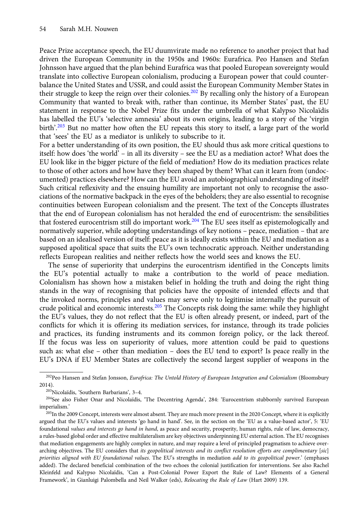Peace Prize acceptance speech, the EU duumvirate made no reference to another project that had driven the European Community in the 1950s and 1960s: Eurafrica. Peo Hansen and Stefan Johnsson have argued that the plan behind Eurafrica was that pooled European sovereignty would translate into collective European colonialism, producing a European power that could counterbalance the United States and USSR, and could assist the European Community Member States in their struggle to keep the reign over their colonies.<sup>202</sup> By recalling only the history of a European Community that wanted to break with, rather than continue, its Member States' past, the EU statement in response to the Nobel Prize fits under the umbrella of what Kalypso Nicolaïdis has labelled the EU's 'selective amnesia' about its own origins, leading to a story of the 'virgin birth'.<sup>203</sup> But no matter how often the EU repeats this story to itself, a large part of the world that 'sees' the EU as a mediator is unlikely to subscribe to it.

For a better understanding of its own position, the EU should thus ask more critical questions to itself: how does 'the world' – in all its diversity – see the EU as a mediation actor? What does the EU look like in the bigger picture of the field of mediation? How do its mediation practices relate to those of other actors and how have they been shaped by them? What can it learn from (undocumented) practices elsewhere? How can the EU avoid an autobiographical understanding of itself? Such critical reflexivity and the ensuing humility are important not only to recognise the associations of the normative backpack in the eyes of the beholders; they are also essential to recognise continuities between European colonialism and the present. The text of the Concepts illustrates that the end of European colonialism has not heralded the end of eurocentrism: the sensibilities that fostered eurocentrism still do important work.<sup>204</sup> The EU sees itself as epistemologically and normatively superior, while adopting understandings of key notions – peace, mediation – that are based on an idealised version of itself: peace as it is ideally exists within the EU and mediation as a supposed apolitical space that suits the EU's own technocratic approach. Neither understanding reflects European realities and neither reflects how the world sees and knows the EU.

The sense of superiority that underpins the eurocentrism identified in the Concepts limits the EU's potential actually to make a contribution to the world of peace mediation. Colonialism has shown how a mistaken belief in holding the truth and doing the right thing stands in the way of recognising that policies have the opposite of intended effects and that the invoked norms, principles and values may serve only to legitimise internally the pursuit of crude political and economic interests. $205$  The Concepts risk doing the same: while they highlight the EU's values, they do not reflect that the EU is often already present, or indeed, part of the conflicts for which it is offering its mediation services, for instance, through its trade policies and practices, its funding instruments and its common foreign policy, or the lack thereof. If the focus was less on superiority of values, more attention could be paid to questions such as: what else – other than mediation – does the EU tend to export? Is peace really in the EU's DNA if EU Member States are collectively the second largest supplier of weapons in the

<sup>&</sup>lt;sup>202</sup>Peo Hansen and Stefan Jonsson, Eurafrica: The Untold History of European Integration and Colonialism (Bloomsbury 2014).

<sup>203</sup>Nicolaïdis, 'Southern Barbarians', 3–4.

<sup>204</sup>See also Fisher Onar and Nicolaïdis, 'The Decentring Agenda', 284: 'Eurocentrism stubbornly survived European imperialism.'

<sup>&</sup>lt;sup>205</sup>In the 2009 Concept, interests were almost absent. They are much more present in the 2020 Concept, where it is explicitly argued that the EU's values and interests 'go hand in hand'. See, in the section on the 'EU as a value-based actor', 5: 'EU foundational values and interests go hand in hand, as peace and security, prosperity, human rights, rule of law, democracy, a rules-based global order and effective multilateralism are key objectives underpinning EU external action. The EU recognises that mediation engagements are highly complex in nature, and may require a level of principled pragmatism to achieve overarching objectives. The EU considers that its geopolitical interests and its conflict resolution efforts are complimentary [sic] priorities aligned with EU foundational values. The EU's strengths in mediation add to its geopolitical power.' (emphases added). The declared beneficial combination of the two echoes the colonial justification for interventions. See also Rachel Kleinfeld and Kalypso Nicolaïdis, 'Can a Post-Colonial Power Export the Rule of Law? Elements of a General Framework', in Gianluigi Palombella and Neil Walker (eds), Relocating the Rule of Law (Hart 2009) 139.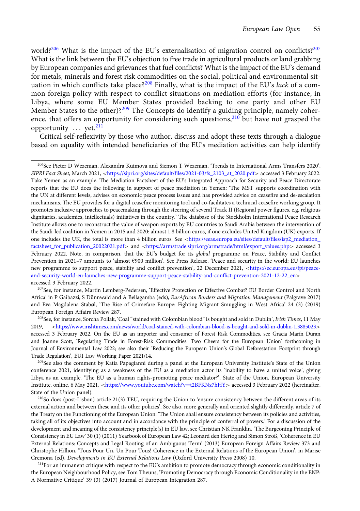world?<sup>206</sup> What is the impact of the EU's externalisation of migration control on conflicts?<sup>207</sup> What is the link between the EU's objection to free trade in agricultural products or land grabbing by European companies and grievances that fuel conflicts? What is the impact of the EU's demand for metals, minerals and forest risk commodities on the social, political and environmental situation in which conflicts take place?<sup>208</sup> Finally, what is the impact of the EU's *lack* of a common foreign policy with respect to conflict situations on mediation efforts (for instance, in Libya, where some EU Member States provided backing to one party and other EU Member States to the other)?<sup>209</sup> The Concepts do identify a guiding principle, namely coherence, that offers an opportunity for considering such questions,  $210$  but have not grasped the opportunity  $\ldots$  yet.<sup>211</sup>

Critical self-reflexivity by those who author, discuss and adopt these texts through a dialogue based on equality with intended beneficiaries of the EU's mediation activities can help identify

207See, for instance, Martin Lemberg-Pedersen, 'Effective Protection or Effective Combat? EU Border Control and North Africa' in P Gaibazzi, S Dünnwald and A Bellagamba (eds), EurAfrican Borders and Migration Management (Palgrave 2017) and Eva Magdalena Stabøl, 'The Rise of Crimefare Europe: Fighting Migrant Smuggling in West Africa' 24 (3) (2019) European Foreign Affairs Review 287.

<sup>211</sup>For an immanent critique with respect to the EU's ambition to promote democracy through economic conditionality in the European Neighbourhood Policy, see Tom Theuns, 'Promoting Democracy through Economic Conditionality in the ENP: A Normative Critique' 39 (3) (2017) Journal of European Integration 287.

<sup>206</sup>See Pieter D Wezeman, Alexandra Kuimova and Siemon T Wezeman, 'Trends in International Arms Transfers 2020', SIPRI Fact Sheet, March 2021, <[https://sipri.org/sites/default/files/2021-03/fs\\_2103\\_at\\_2020.pdf](https://sipri.org/sites/default/files/2021-03/fs_2103_at_2020.pdf)> accessed 3 February 2022. Take Yemen as an example. The Mediation Factsheet of the EU's Integrated Approach for Security and Peace Directorate reports that the EU does the following in support of peace mediation in Yemen: 'The MST supports coordination with the UN at different levels, advises on economic peace process issues and has provided advice on ceasefire and de-escalation mechanisms. The EU provides for a digital ceasefire monitoring tool and co-facilitates a technical ceasefire working group. It promotes inclusive approaches to peacemaking through the steering of several Track II (Regional power figures, e.g. religious dignitaries, academics, intellectuals) initiatives in the country.' The database of the Stockholm International Peace Research Institute allows one to reconstruct the value of weapon exports by EU countries to Saudi Arabia between the intervention of the Saudi-led coalition in Yemen in 2015 and 2020: almost 1.8 billion euros, if one excludes United Kingdom (UK) exports. If one includes the UK, the total is more than 4 billion euros. See <[https://eeas.europa.eu/sites/default/files/isp2\\_mediation\\_](https://eeas.europa.eu/sites/default/files/isp2_mediation_factsheet_for_publication_20022021.pdf) [factsheet\\_for\\_publication\\_20022021.pdf](https://eeas.europa.eu/sites/default/files/isp2_mediation_factsheet_for_publication_20022021.pdf)> and <[https://armstrade.sipri.org/armstrade/html/export\\_values.php](https://armstrade.sipri.org/armstrade/html/export_values.php)> accessed 3 February 2022. Note, in comparison, that the EU's budget for its *global* programme on Peace, Stability and Conflict Prevention in 2021–7 amounts to 'almost €900 million'. See Press Release, 'Peace and security in the world: EU launches new programme to support peace, stability and conflict prevention', 22 December 2021, <[https://ec.europa.eu/fpi/peace](https://ec.europa.eu/fpi/peace-and-security-world-eu-launches-new-programme-support-peace-stability-and-conflict-prevention-2021-12-22_en)[and-security-world-eu-launches-new-programme-support-peace-stability-and-conflict-prevention-2021-12-22\\_en](https://ec.europa.eu/fpi/peace-and-security-world-eu-launches-new-programme-support-peace-stability-and-conflict-prevention-2021-12-22_en)> accessed 3 February 2022.

<sup>&</sup>lt;sup>208</sup>See, for instance, Sorcha Pollak, 'Coal "stained with Colombian blood" is bought and sold in Dublin', *Irish Times*, 11 May 2019, <<https://www.irishtimes.com/news/world/coal-stained-with-colombian-blood-is-bought-and-sold-in-dublin-1.3885023>> accessed 3 February 2022. On the EU as an importer and consumer of Forest Risk Commodities, see Gracia Marín Duran and Joanne Scott, 'Regulating Trade in Forest-Risk Commodities: Two Cheers for the European Union' forthcoming in Journal of Environmental Law 2022; see also their 'Reducing the European Union's Global Deforestation Footprint through Trade Regulation', EUI Law Working Paper 2021/14.

<sup>&</sup>lt;sup>209</sup>See also the comment by Katia Papagianni during a panel at the European University Institute's State of the Union conference 2021, identifying as a weakness of the EU as a mediation actor its 'inability to have a united voice', giving Libya as an example. 'The EU as a human rights-promoting peace mediator?', State of the Union, European University Institute, online, 6 May 2021, <[https://www.youtube.com/watch?v](https://www.youtube.com/watch?v=t2BFKNz7hHY)=[t2BFKNz7hHY](https://www.youtube.com/watch?v=t2BFKNz7hHY)> accessed 3 February 2022 (hereinafter, State of the Union panel).

<sup>210</sup>So does (post-Lisbon) article 21(3) TEU, requiring the Union to 'ensure consistency between the different areas of its external action and between these and its other policies'. See also, more generally and oriented slightly differently, article 7 of the Treaty on the Functioning of the European Union: 'The Union shall ensure consistency between its policies and activities, taking all of its objectives into account and in accordance with the principle of conferral of powers.' For a discussion of the development and meaning of the consistency principle(s) in EU law, see Christian NK Franklin, 'The Burgeoning Principle of Consistency in EU Law' 30 (1) (2011) Yearbook of European Law 42; Leonard den Hertog and Simon Stroß, 'Coherence in EU External Relations: Concepts and Legal Rooting of an Ambiguous Term' (2013) European Foreign Affairs Review 373 and Christophe Hillion, 'Tous Pour Un, Un Pour Tous! Coherence in the External Relations of the European Union', in Marise Cremona (ed), Developments in EU External Relations Law (Oxford University Press 2008) 10.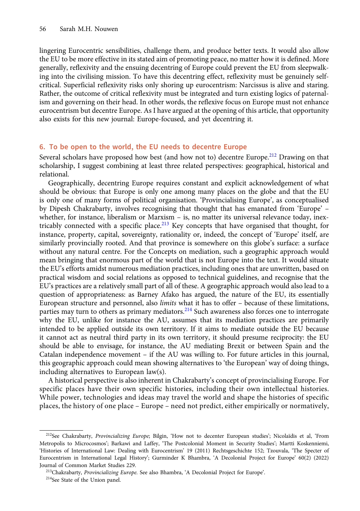lingering Eurocentric sensibilities, challenge them, and produce better texts. It would also allow the EU to be more effective in its stated aim of promoting peace, no matter how it is defined. More generally, reflexivity and the ensuing decentring of Europe could prevent the EU from sleepwalking into the civilising mission. To have this decentring effect, reflexivity must be genuinely selfcritical. Superficial reflexivity risks only shoring up eurocentrism: Narcissus is alive and staring. Rather, the outcome of critical reflexivity must be integrated and turn existing logics of paternalism and governing on their head. In other words, the reflexive focus on Europe must not enhance eurocentrism but decentre Europe. As I have argued at the opening of this article, that opportunity also exists for this new journal: Europe-focused, and yet decentring it.

# 6. To be open to the world, the EU needs to decentre Europe

Several scholars have proposed how best (and how not to) decentre Europe.<sup>212</sup> Drawing on that scholarship, I suggest combining at least three related perspectives: geographical, historical and relational.

Geographically, decentring Europe requires constant and explicit acknowledgement of what should be obvious: that Europe is only one among many places on the globe and that the EU is only one of many forms of political organisation. 'Provincialising Europe', as conceptualised by Dipesh Chakrabarty, involves recognising that thought that has emanated from 'Europe' – whether, for instance, liberalism or Marxism – is, no matter its universal relevance today, inextricably connected with a specific place.<sup>213</sup> Key concepts that have organised that thought, for instance, property, capital, sovereignty, rationality or, indeed, the concept of 'Europe' itself, are similarly provincially rooted. And that province is somewhere on this globe's surface: a surface without any natural centre. For the Concepts on mediation, such a geographic approach would mean bringing that enormous part of the world that is not Europe into the text. It would situate the EU's efforts amidst numerous mediation practices, including ones that are unwritten, based on practical wisdom and social relations as opposed to technical guidelines, and recognise that the EU's practices are a relatively small part of all of these. A geographic approach would also lead to a question of appropriateness: as Barney Afako has argued, the nature of the EU, its essentially European structure and personnel, also limits what it has to offer – because of these limitations, parties may turn to others as primary mediators.<sup>214</sup> Such awareness also forces one to interrogate why the EU, unlike for instance the AU, assumes that its mediation practices are primarily intended to be applied outside its own territory. If it aims to mediate outside the EU because it cannot act as neutral third party in its own territory, it should presume reciprocity: the EU should be able to envisage, for instance, the AU mediating Brexit or between Spain and the Catalan independence movement – if the AU was willing to. For future articles in this journal, this geographic approach could mean showing alternatives to 'the European' way of doing things, including alternatives to European law(s).

A historical perspective is also inherent in Chakrabarty's concept of provincialising Europe. For specific places have their own specific histories, including their own intellectual histories. While power, technologies and ideas may travel the world and shape the histories of specific places, the history of one place – Europe – need not predict, either empirically or normatively,

<sup>212</sup>See Chakrabarty, Provincializing Europe; Bilgin, 'How not to decenter European studies'; Nicolaïdis et al, 'From Metropolis to Microcosmos'; Barkawi and Laffey, 'The Postcolonial Moment in Security Studies'; Martti Koskenniemi, 'Histories of International Law: Dealing with Eurocentrism' 19 (2011) Rechtsgeschichte 152; Tzouvala, 'The Specter of Eurocentrism in International Legal History'; Gurminder K Bhambra, 'A Decolonial Project for Europe' 60(2) (2022) Journal of Common Market Studies 229.

<sup>213</sup>Chakrabarty, Provincializing Europe. See also Bhambra, 'A Decolonial Project for Europe'.

<sup>214</sup>See State of the Union panel.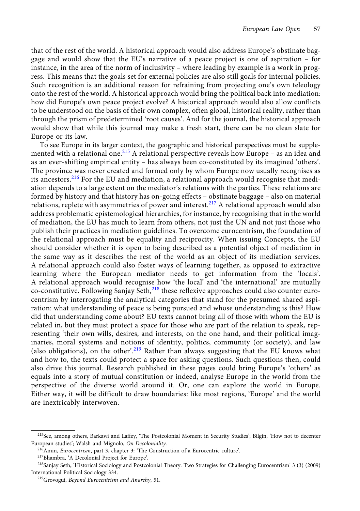that of the rest of the world. A historical approach would also address Europe's obstinate baggage and would show that the EU's narrative of a peace project is one of aspiration – for instance, in the area of the norm of inclusivity – where leading by example is a work in progress. This means that the goals set for external policies are also still goals for internal policies. Such recognition is an additional reason for refraining from projecting one's own teleology onto the rest of the world. A historical approach would bring the political back into mediation: how did Europe's own peace project evolve? A historical approach would also allow conflicts to be understood on the basis of their own complex, often global, historical reality, rather than through the prism of predetermined 'root causes'. And for the journal, the historical approach would show that while this journal may make a fresh start, there can be no clean slate for Europe or its law.

To see Europe in its larger context, the geographic and historical perspectives must be supplemented with a relational one.<sup>215</sup> A relational perspective reveals how Europe – as an idea and as an ever-shifting empirical entity – has always been co-constituted by its imagined 'others'. The province was never created and formed only by whom Europe now usually recognises as its ancestors.<sup>216</sup> For the EU and mediation, a relational approach would recognise that mediation depends to a large extent on the mediator's relations with the parties. These relations are formed by history and that history has on-going effects – obstinate baggage – also on material relations, replete with asymmetries of power and interest.<sup>217</sup> A relational approach would also address problematic epistemological hierarchies, for instance, by recognising that in the world of mediation, the EU has much to learn from others, not just the UN and not just those who publish their practices in mediation guidelines. To overcome eurocentrism, the foundation of the relational approach must be equality and reciprocity. When issuing Concepts, the EU should consider whether it is open to being described as a potential object of mediation in the same way as it describes the rest of the world as an object of its mediation services. A relational approach could also foster ways of learning together, as opposed to extractive learning where the European mediator needs to get information from the 'locals'. A relational approach would recognise how 'the local' and 'the international' are mutually co-constitutive. Following Sanjay Seth, $^{218}$  these reflexive approaches could also counter eurocentrism by interrogating the analytical categories that stand for the presumed shared aspiration: what understanding of peace is being pursued and whose understanding is this? How did that understanding come about? EU texts cannot bring all of those with whom the EU is related in, but they must protect a space for those who are part of the relation to speak, representing 'their own wills, desires, and interests, on the one hand, and their political imaginaries, moral systems and notions of identity, politics, community (or society), and law (also obligations), on the other'.<sup>219</sup> Rather than always suggesting that the EU knows what and how to, the texts could protect a space for asking questions. Such questions then, could also drive this journal. Research published in these pages could bring Europe's 'others' as equals into a story of mutual constitution or indeed, analyse Europe in the world from the perspective of the diverse world around it. Or, one can explore the world in Europe. Either way, it will be difficult to draw boundaries: like most regions, 'Europe' and the world are inextricably interwoven.

<sup>&</sup>lt;sup>215</sup>See, among others, Barkawi and Laffey, 'The Postcolonial Moment in Security Studies'; Bilgin, 'How not to decenter European studies'; Walsh and Mignolo, On Decoloniality.

<sup>216</sup>Amin, Eurocentrism, part 3, chapter 3: 'The Construction of a Eurocentric culture'.

<sup>217</sup>Bhambra, 'A Decolonial Project for Europe'.

<sup>218</sup>Sanjay Seth, 'Historical Sociology and Postcolonial Theory: Two Strategies for Challenging Eurocentrism' 3 (3) (2009) International Political Sociology 334.

<sup>219</sup>Grovogui, Beyond Eurocentrism and Anarchy, 51.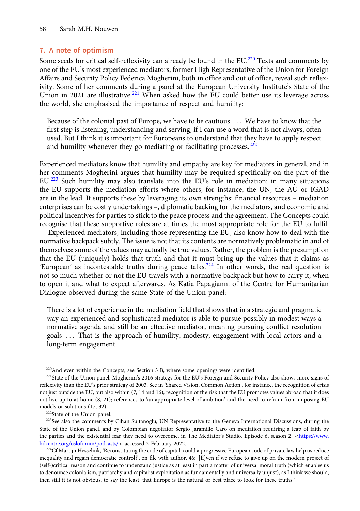# 7. A note of optimism

Some seeds for critical self-reflexivity can already be found in the EU.<sup>220</sup> Texts and comments by one of the EU's most experienced mediators, former High Representative of the Union for Foreign Affairs and Security Policy Federica Mogherini, both in office and out of office, reveal such reflexivity. Some of her comments during a panel at the European University Institute's State of the Union in 2021 are illustrative.<sup>221</sup> When asked how the EU could better use its leverage across the world, she emphasised the importance of respect and humility:

Because of the colonial past of Europe, we have to be cautious ::: We have to know that the first step is listening, understanding and serving, if I can use a word that is not always, often used. But I think it is important for Europeans to understand that they have to apply respect and humility whenever they go mediating or facilitating processes. $222$ 

Experienced mediators know that humility and empathy are key for mediators in general, and in her comments Mogherini argues that humility may be required specifically on the part of the EU.<sup>223</sup> Such humility may also translate into the EU's role in mediation: in many situations the EU supports the mediation efforts where others, for instance, the UN, the AU or IGAD are in the lead. It supports these by leveraging its own strengths: financial resources – mediation enterprises can be costly undertakings –, diplomatic backing for the mediators, and economic and political incentives for parties to stick to the peace process and the agreement. The Concepts could recognise that these supportive roles are at times the most appropriate role for the EU to fulfil.

Experienced mediators, including those representing the EU, also know how to deal with the normative backpack subtly. The issue is not that its contents are normatively problematic in and of themselves: some of the values may actually be true values. Rather, the problem is the presumption that the EU (uniquely) holds that truth and that it must bring up the values that it claims as 'European' as incontestable truths during peace talks.<sup>224</sup> In other words, the real question is not so much whether or not the EU travels with a normative backpack but how to carry it, when to open it and what to expect afterwards. As Katia Papagianni of the Centre for Humanitarian Dialogue observed during the same State of the Union panel:

There is a lot of experience in the mediation field that shows that in a strategic and pragmatic way an experienced and sophisticated mediator is able to pursue possibly in modest ways a normative agenda and still be an effective mediator, meaning pursuing conflict resolution goals ::: That is the approach of humility, modesty, engagement with local actors and a long-term engagement.

<sup>&</sup>lt;sup>220</sup>And even within the Concepts, see Section 3 B, where some openings were identified.

<sup>&</sup>lt;sup>221</sup>State of the Union panel. Mogherini's 2016 strategy for the EU's Foreign and Security Policy also shows more signs of reflexivity than the EU's prior strategy of 2003. See in 'Shared Vision, Common Action', for instance, the recognition of crisis not just outside the EU, but also within (7, 14 and 16); recognition of the risk that the EU promotes values abroad that it does not live up to at home (8, 21); references to 'an appropriate level of ambition' and the need to refrain from imposing EU models or solutions (17, 32).

<sup>222</sup>State of the Union panel.

<sup>&</sup>lt;sup>223</sup>See also the comments by Cihan Sultanoğlu, UN Representative to the Geneva International Discussions, during the State of the Union panel, and by Colombian negotiator Sergio Jaramillo Caro on mediation requiring a leap of faith by the parties and the existential fear they need to overcome, in The Mediator's Studio, Episode 6, season 2, <[https://www.](https://www.hdcentre.org/osloforum/podcasts/) [hdcentre.org/osloforum/podcasts/](https://www.hdcentre.org/osloforum/podcasts/)> accessed 2 February 2022.

<sup>&</sup>lt;sup>224</sup>Cf Martijn Hesselink, 'Reconstituting the code of capital: could a progressive European code of private law help us reduce inequality and regain democratic control?', on file with author, 46: '[E]ven if we refuse to give up on the modern project of (self-)critical reason and continue to understand justice as at least in part a matter of universal moral truth (which enables us to denounce colonialism, patriarchy and capitalist exploitation as fundamentally and universally unjust), as I think we should, then still it is not obvious, to say the least, that Europe is the natural or best place to look for these truths.'